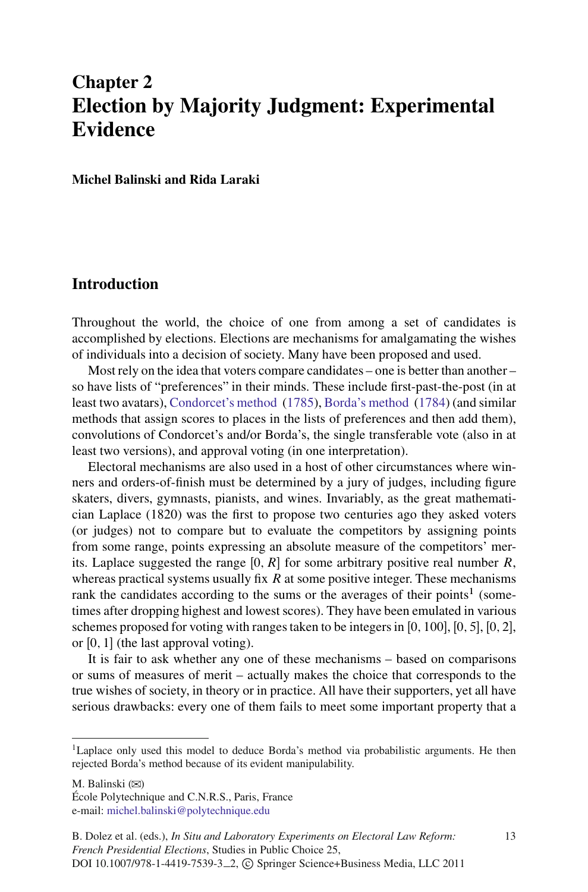# **Chapter 2 Election by Majority Judgment: Experimental Evidence**

**Michel Balinski and Rida Laraki**

# **Introduction**

Throughout the world, the choice of one from among a set of candidates is accomplished by elections. Elections are mechanisms for amalgamating the wishes of individuals into a decision of society. Many have been proposed and used.

Most rely on the idea that voters compare candidates – one is better than another – so have lists of "preferences" in their minds. These include first-past-the-post (in at least two avatars), [Condorcet's method](#page-40-0) [\(1785](#page-40-0)), [Borda's method](#page-40-1) [\(1784\)](#page-40-1) (and similar methods that assign scores to places in the lists of preferences and then add them), convolutions of Condorcet's and/or Borda's, the single transferable vote (also in at least two versions), and approval voting (in one interpretation).

Electoral mechanisms are also used in a host of other circumstances where winners and orders-of-finish must be determined by a jury of judges, including figure skaters, divers, gymnasts, pianists, and wines. Invariably, as the great mathematician Laplace (1820) was the first to propose two centuries ago they asked voters (or judges) not to compare but to evaluate the competitors by assigning points from some range, points expressing an absolute measure of the competitors' merits. Laplace suggested the range  $[0, R]$  for some arbitrary positive real number R,<br>whereas practical systems usually fix R at some positive integer. These mechanisms whereas practical systems usually fix  $R$  at some positive integer. These mechanisms rank the candidates according to the sums or the averages of their points<sup>1</sup> (sometimes after dropping highest and lowest scores). They have been emulated in various schemes proposed for voting with ranges taken to be integers in  $[0, 100]$ ,  $[0, 5]$ ,  $[0, 2]$ , or  $[0, 1]$  (the last approval voting) or  $[0, 1]$  (the last approval voting).<br>It is fair to ask whether any of

It is fair to ask whether any one of these mechanisms – based on comparisons or sums of measures of merit – actually makes the choice that corresponds to the true wishes of society, in theory or in practice. All have their supporters, yet all have serious drawbacks: every one of them fails to meet some important property that a

M. Balinski (⊠)

<sup>&</sup>lt;sup>1</sup>Laplace only used this model to deduce Borda's method via probabilistic arguments. He then rejected Borda's method because of its evident manipulability.

Ecole Polytechnique and C.N.R.S., Paris, France ´ e-mail: <michel.balinski@polytechnique.edu>

B. Dolez et al. (eds.), *In Situ and Laboratory Experiments on Electoral Law Reform: French Presidential Elections*, Studies in Public Choice 25, DOI 10.1007/978-1-4419-7539-3<sub>--</sub>2, © Springer Science+Business Media, LLC 2011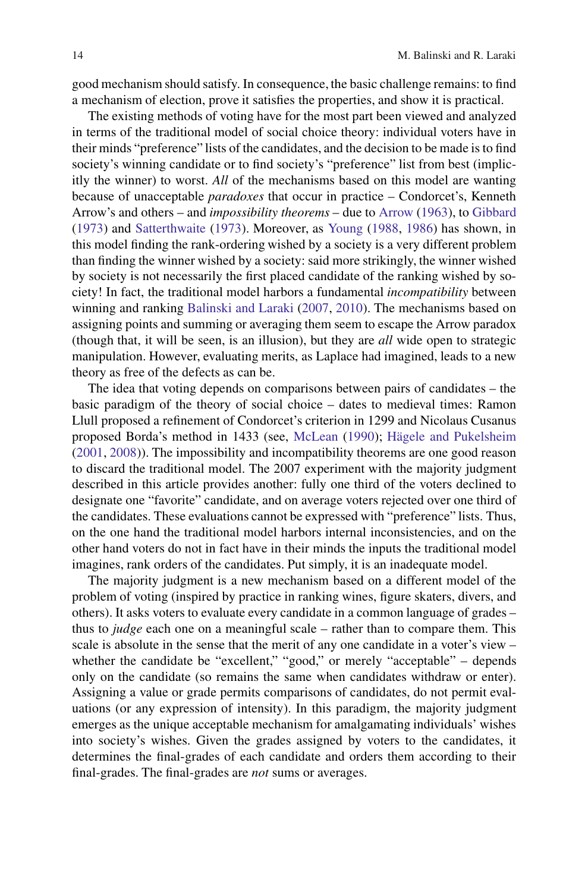good mechanism should satisfy. In consequence, the basic challenge remains: to find a mechanism of election, prove it satisfies the properties, and show it is practical.

The existing methods of voting have for the most part been viewed and analyzed in terms of the traditional model of social choice theory: individual voters have in their minds "preference" lists of the candidates, and the decision to be made is to find society's winning candidate or to find society's "preference" list from best (implicitly the winner) to worst. *All* of the mechanisms based on this model are wanting because of unacceptable *paradoxes* that occur in practice – Condorcet's, Kenneth Arrow's and others – and *impossibility theorems* – due to [Arrow](#page-40-2) [\(1963\)](#page-40-2), to [Gibbard](#page-40-3) [\(1973](#page-40-3)) and [Satterthwaite](#page-41-0) [\(1973](#page-41-0)). Moreover, as [Young](#page-41-1) [\(1988,](#page-41-1) [1986](#page-41-2)) has shown, in this model finding the rank-ordering wished by a society is a very different problem than finding the winner wished by a society: said more strikingly, the winner wished by society is not necessarily the first placed candidate of the ranking wished by society! In fact, the traditional model harbors a fundamental *incompatibility* between winning and ranking [Balinski and Laraki](#page-40-4) [\(2007,](#page-40-4) [2010\)](#page-40-5). The mechanisms based on assigning points and summing or averaging them seem to escape the Arrow paradox (though that, it will be seen, is an illusion), but they are *all* wide open to strategic manipulation. However, evaluating merits, as Laplace had imagined, leads to a new theory as free of the defects as can be.

The idea that voting depends on comparisons between pairs of candidates – the basic paradigm of the theory of social choice – dates to medieval times: Ramon Llull proposed a refinement of Condorcet's criterion in 1299 and Nicolaus Cusanus proposed Borda's method in 1433 (see, [McLean](#page-40-6) [\(1990\)](#page-40-6); Hägele and Pukelsheim [\(2001](#page-40-7), [2008](#page-40-8))). The impossibility and incompatibility theorems are one good reason to discard the traditional model. The 2007 experiment with the majority judgment described in this article provides another: fully one third of the voters declined to designate one "favorite" candidate, and on average voters rejected over one third of the candidates. These evaluations cannot be expressed with "preference" lists. Thus, on the one hand the traditional model harbors internal inconsistencies, and on the other hand voters do not in fact have in their minds the inputs the traditional model imagines, rank orders of the candidates. Put simply, it is an inadequate model.

The majority judgment is a new mechanism based on a different model of the problem of voting (inspired by practice in ranking wines, figure skaters, divers, and others). It asks voters to evaluate every candidate in a common language of grades – thus to *judge* each one on a meaningful scale – rather than to compare them. This scale is absolute in the sense that the merit of any one candidate in a voter's view – whether the candidate be "excellent," "good," or merely "acceptable" – depends only on the candidate (so remains the same when candidates withdraw or enter). Assigning a value or grade permits comparisons of candidates, do not permit evaluations (or any expression of intensity). In this paradigm, the majority judgment emerges as the unique acceptable mechanism for amalgamating individuals' wishes into society's wishes. Given the grades assigned by voters to the candidates, it determines the final-grades of each candidate and orders them according to their final-grades. The final-grades are *not* sums or averages.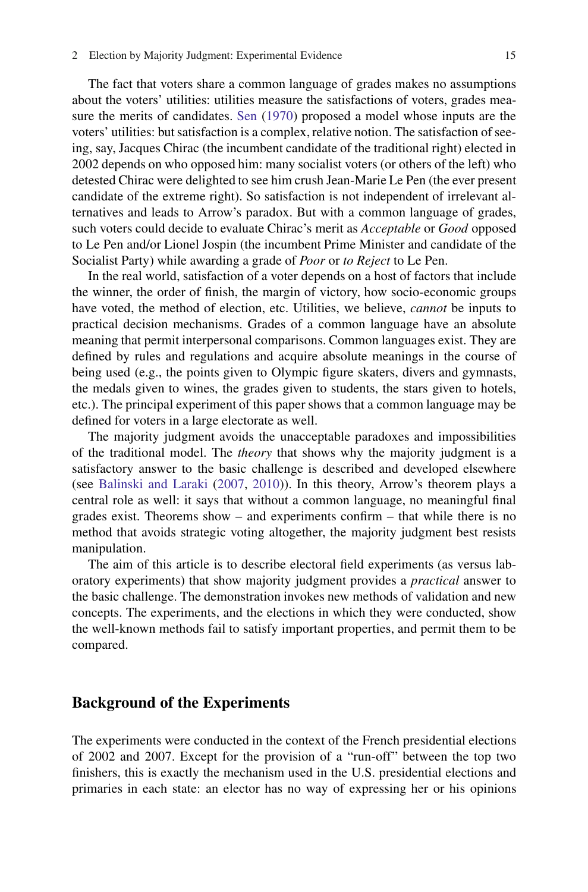The fact that voters share a common language of grades makes no assumptions about the voters' utilities: utilities measure the satisfactions of voters, grades measure the merits of candidates. [Sen](#page-41-3) [\(1970\)](#page-41-3) proposed a model whose inputs are the voters' utilities: but satisfaction is a complex, relative notion. The satisfaction of seeing, say, Jacques Chirac (the incumbent candidate of the traditional right) elected in 2002 depends on who opposed him: many socialist voters (or others of the left) who detested Chirac were delighted to see him crush Jean-Marie Le Pen (the ever present candidate of the extreme right). So satisfaction is not independent of irrelevant alternatives and leads to Arrow's paradox. But with a common language of grades, such voters could decide to evaluate Chirac's merit as *Acceptable* or *Good* opposed to Le Pen and/or Lionel Jospin (the incumbent Prime Minister and candidate of the Socialist Party) while awarding a grade of *Poor* or *to Reject* to Le Pen.

In the real world, satisfaction of a voter depends on a host of factors that include the winner, the order of finish, the margin of victory, how socio-economic groups have voted, the method of election, etc. Utilities, we believe, *cannot* be inputs to practical decision mechanisms. Grades of a common language have an absolute meaning that permit interpersonal comparisons. Common languages exist. They are defined by rules and regulations and acquire absolute meanings in the course of being used (e.g., the points given to Olympic figure skaters, divers and gymnasts, the medals given to wines, the grades given to students, the stars given to hotels, etc.). The principal experiment of this paper shows that a common language may be defined for voters in a large electorate as well.

The majority judgment avoids the unacceptable paradoxes and impossibilities of the traditional model. The *theory* that shows why the majority judgment is a satisfactory answer to the basic challenge is described and developed elsewhere (see [Balinski and Laraki](#page-40-4) [\(2007,](#page-40-4) [2010\)](#page-40-5)). In this theory, Arrow's theorem plays a central role as well: it says that without a common language, no meaningful final grades exist. Theorems show – and experiments confirm – that while there is no method that avoids strategic voting altogether, the majority judgment best resists manipulation.

The aim of this article is to describe electoral field experiments (as versus laboratory experiments) that show majority judgment provides a *practical* answer to the basic challenge. The demonstration invokes new methods of validation and new concepts. The experiments, and the elections in which they were conducted, show the well-known methods fail to satisfy important properties, and permit them to be compared.

#### **Background of the Experiments**

The experiments were conducted in the context of the French presidential elections of 2002 and 2007. Except for the provision of a "run-off" between the top two finishers, this is exactly the mechanism used in the U.S. presidential elections and primaries in each state: an elector has no way of expressing her or his opinions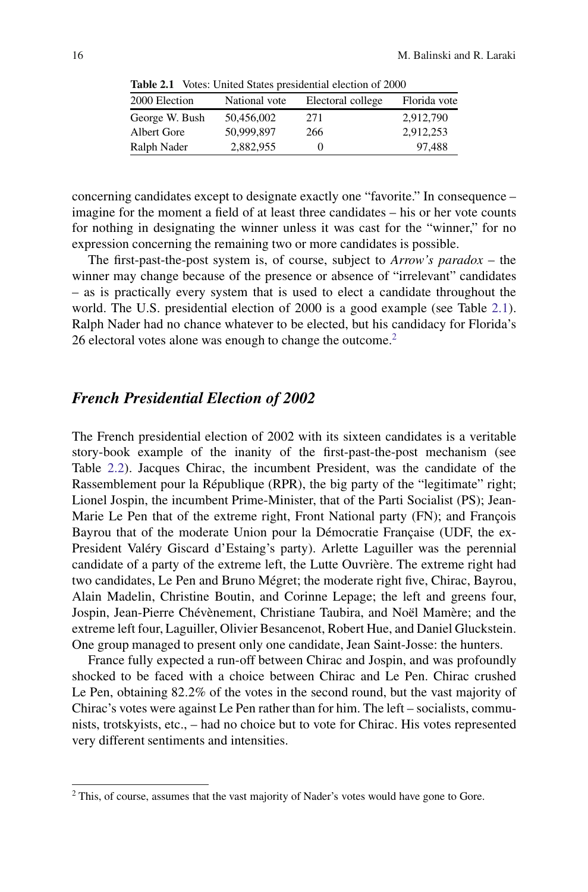<span id="page-3-0"></span>

|                |               | <b>Table 2.1</b> VOLG. United blacks presidential electron of 2000 |              |
|----------------|---------------|--------------------------------------------------------------------|--------------|
| 2000 Election  | National vote | Electoral college                                                  | Florida vote |
| George W. Bush | 50.456,002    | 271                                                                | 2.912.790    |
| Albert Gore    | 50,999,897    | 266                                                                | 2,912,253    |
| Ralph Nader    | 2.882.955     |                                                                    | 97.488       |

**Table 2.1** Votes: United States presidential election of 2000

concerning candidates except to designate exactly one "favorite." In consequence – imagine for the moment a field of at least three candidates – his or her vote counts for nothing in designating the winner unless it was cast for the "winner," for no expression concerning the remaining two or more candidates is possible.

The first-past-the-post system is, of course, subject to *Arrow's paradox* – the winner may change because of the presence or absence of "irrelevant" candidates – as is practically every system that is used to elect a candidate throughout the world. The U.S. presidential election of 2000 is a good example (see Table [2.1\)](#page-3-0). Ralph Nader had no chance whatever to be elected, but his candidacy for Florida's [2](#page-3-1)6 electoral votes alone was enough to change the outcome.<sup>2</sup>

### *French Presidential Election of 2002*

The French presidential election of 2002 with its sixteen candidates is a veritable story-book example of the inanity of the first-past-the-post mechanism (see Table [2.2\)](#page-4-0). Jacques Chirac, the incumbent President, was the candidate of the Rassemblement pour la République (RPR), the big party of the "legitimate" right; Lionel Jospin, the incumbent Prime-Minister, that of the Parti Socialist (PS); Jean-Marie Le Pen that of the extreme right, Front National party (FN); and François Bayrou that of the moderate Union pour la Démocratie Française (UDF, the ex-President Valéry Giscard d'Estaing's party). Arlette Laguiller was the perennial candidate of a party of the extreme left, the Lutte Ouvrière. The extreme right had two candidates, Le Pen and Bruno Mégret; the moderate right five, Chirac, Bayrou, Alain Madelin, Christine Boutin, and Corinne Lepage; the left and greens four, Jospin, Jean-Pierre Chévènement, Christiane Taubira, and Noël Mamère; and the extreme left four, Laguiller, Olivier Besancenot, Robert Hue, and Daniel Gluckstein. One group managed to present only one candidate, Jean Saint-Josse: the hunters.

France fully expected a run-off between Chirac and Jospin, and was profoundly shocked to be faced with a choice between Chirac and Le Pen. Chirac crushed Le Pen, obtaining 82.2% of the votes in the second round, but the vast majority of Chirac's votes were against Le Pen rather than for him. The left – socialists, communists, trotskyists, etc., – had no choice but to vote for Chirac. His votes represented very different sentiments and intensities.

<span id="page-3-1"></span><sup>2</sup> This, of course, assumes that the vast majority of Nader's votes would have gone to Gore.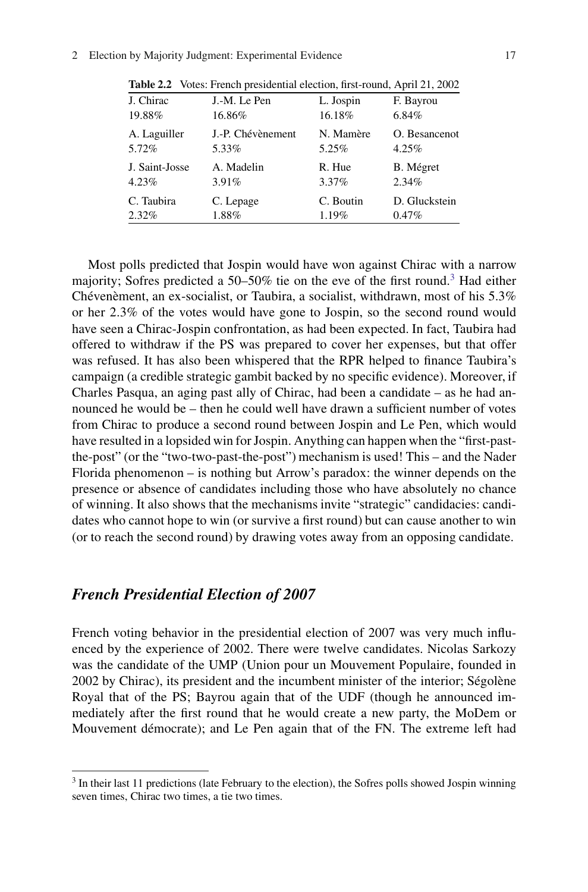<span id="page-4-0"></span>

| J. Chirac      | J.-M. Le Pen      | L. Jospin | F. Bayrou     |
|----------------|-------------------|-----------|---------------|
| 19.88%         | 16.86%            | 16.18%    | 6.84%         |
| A. Laguiller   | J.-P. Chévènement | N. Mamère | O. Besancenot |
| 5.72%          | 5.33%             | 5.25%     | 4.25%         |
| J. Saint-Josse | A. Madelin        | R. Hue    | B. Mégret     |
| $4.23\%$       | 3.91%             | $3.37\%$  | 2.34%         |
| C. Taubira     | C. Lepage         | C. Boutin | D. Gluckstein |
| $2.32\%$       | 1.88%             | 1.19%     | 0.47%         |

**Table 2.2** Votes: French presidential election, first-round, April 21, 2002

Most polls predicted that Jospin would have won against Chirac with a narrow majority; Sofres predicted a 50–50% tie on the eve of the first round.[3](#page-4-1) Had either Chévenèment, an ex-socialist, or Taubira, a socialist, withdrawn, most of his  $5.3\%$ or her 2.3% of the votes would have gone to Jospin, so the second round would have seen a Chirac-Jospin confrontation, as had been expected. In fact, Taubira had offered to withdraw if the PS was prepared to cover her expenses, but that offer was refused. It has also been whispered that the RPR helped to finance Taubira's campaign (a credible strategic gambit backed by no specific evidence). Moreover, if Charles Pasqua, an aging past ally of Chirac, had been a candidate – as he had announced he would be – then he could well have drawn a sufficient number of votes from Chirac to produce a second round between Jospin and Le Pen, which would have resulted in a lopsided win for Jospin. Anything can happen when the "first-pastthe-post" (or the "two-two-past-the-post") mechanism is used! This – and the Nader Florida phenomenon – is nothing but Arrow's paradox: the winner depends on the presence or absence of candidates including those who have absolutely no chance of winning. It also shows that the mechanisms invite "strategic" candidacies: candidates who cannot hope to win (or survive a first round) but can cause another to win (or to reach the second round) by drawing votes away from an opposing candidate.

#### *French Presidential Election of 2007*

French voting behavior in the presidential election of 2007 was very much influenced by the experience of 2002. There were twelve candidates. Nicolas Sarkozy was the candidate of the UMP (Union pour un Mouvement Populaire, founded in 2002 by Chirac), its president and the incumbent minister of the interior; Ségolène Royal that of the PS; Bayrou again that of the UDF (though he announced immediately after the first round that he would create a new party, the MoDem or Mouvement démocrate); and Le Pen again that of the FN. The extreme left had

<span id="page-4-1"></span><sup>&</sup>lt;sup>3</sup> In their last 11 predictions (late February to the election), the Sofres polls showed Jospin winning seven times, Chirac two times, a tie two times.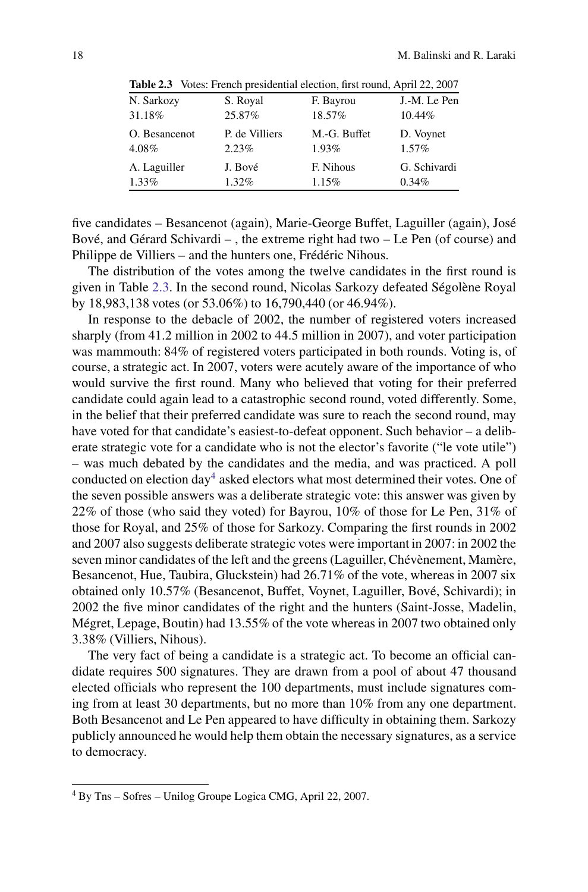|               |                | <b>TWORE THE PRODUCT PRODUCTION SPECIFICAL INTERNATIONAL TEXT</b> |              |
|---------------|----------------|-------------------------------------------------------------------|--------------|
| N. Sarkozy    | S. Royal       | F. Bayrou                                                         | J.-M. Le Pen |
| 31.18%        | 25.87%         | 18.57%                                                            | 10.44%       |
| O. Besancenot | P. de Villiers | M.-G. Buffet                                                      | D. Voynet    |
| 4.08%         | 2.23%          | 1.93%                                                             | 1.57%        |
| A. Laguiller  | J. Bové        | F. Nihous                                                         | G. Schivardi |
| $1.33\%$      | 1.32%          | 1.15%                                                             | $0.34\%$     |

<span id="page-5-0"></span>**Table 2.3** Votes: French presidential election, first round, April 22, 2007

five candidates – Besancenot (again), Marie-George Buffet, Laguiller (again), Jos´e Bové, and Gérard Schivardi – , the extreme right had two – Le Pen (of course) and Philippe de Villiers – and the hunters one, Frédéric Nihous.

The distribution of the votes among the twelve candidates in the first round is given in Table [2.3.](#page-5-0) In the second round, Nicolas Sarkozy defeated Ségolène Royal by 18,983,138 votes (or 53.06%) to 16,790,440 (or 46.94%).

In response to the debacle of 2002, the number of registered voters increased sharply (from 41.2 million in 2002 to 44.5 million in 2007), and voter participation was mammouth: 84% of registered voters participated in both rounds. Voting is, of course, a strategic act. In 2007, voters were acutely aware of the importance of who would survive the first round. Many who believed that voting for their preferred candidate could again lead to a catastrophic second round, voted differently. Some, in the belief that their preferred candidate was sure to reach the second round, may have voted for that candidate's easiest-to-defeat opponent. Such behavior – a deliberate strategic vote for a candidate who is not the elector's favorite ("le vote utile") – was much debated by the candidates and the media, and was practiced. A poll conducted on election day<sup>[4](#page-5-1)</sup> asked electors what most determined their votes. One of the seven possible answers was a deliberate strategic vote: this answer was given by 22% of those (who said they voted) for Bayrou, 10% of those for Le Pen, 31% of those for Royal, and 25% of those for Sarkozy. Comparing the first rounds in 2002 and 2007 also suggests deliberate strategic votes were important in 2007: in 2002 the seven minor candidates of the left and the greens (Laguiller, Chévènement, Mamère, Besancenot, Hue, Taubira, Gluckstein) had 26.71% of the vote, whereas in 2007 six obtained only 10.57% (Besancenot, Buffet, Voynet, Laguiller, Bové, Schivardi); in 2002 the five minor candidates of the right and the hunters (Saint-Josse, Madelin, Mégret, Lepage, Boutin) had 13.55% of the vote whereas in 2007 two obtained only 3.38% (Villiers, Nihous).

The very fact of being a candidate is a strategic act. To become an official candidate requires 500 signatures. They are drawn from a pool of about 47 thousand elected officials who represent the 100 departments, must include signatures coming from at least 30 departments, but no more than 10% from any one department. Both Besancenot and Le Pen appeared to have difficulty in obtaining them. Sarkozy publicly announced he would help them obtain the necessary signatures, as a service to democracy.

<span id="page-5-1"></span><sup>4</sup> By Tns – Sofres – Unilog Groupe Logica CMG, April 22, 2007.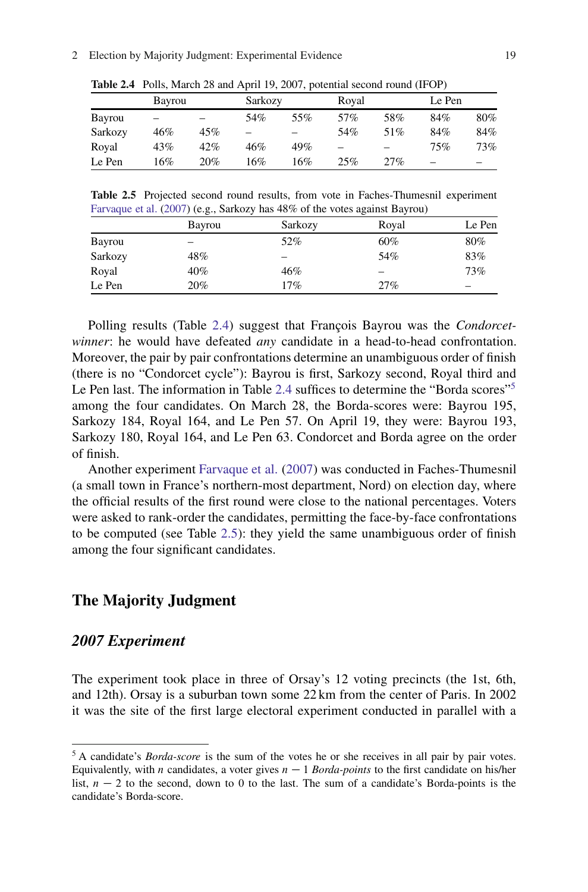<span id="page-6-0"></span>

|         | Bayrou |     |     | Sarkozy                  |                          | Royal |                          | Le Pen                   |  |
|---------|--------|-----|-----|--------------------------|--------------------------|-------|--------------------------|--------------------------|--|
| Bayrou  | -      |     | 54% | 55%                      | 57%                      | 58%   | 84%                      | $80\%$                   |  |
| Sarkozy | 46%    | 45% | -   | $\overline{\phantom{0}}$ | 54%                      | 51%   | 84%                      | 84%                      |  |
| Royal   | 43%    | 42% | 46% | 49%                      | $\overline{\phantom{0}}$ | -     | 75%                      | 73%                      |  |
| Le Pen  | 16%    | 20% | 16% | 16%                      | 25%                      | 27%   | $\overline{\phantom{a}}$ | $\overline{\phantom{a}}$ |  |

**Table 2.4** Polls, March 28 and April 19, 2007, potential second round (IFOP)

<span id="page-6-2"></span>**Table 2.5** Projected second round results, from vote in Faches-Thumesnil experiment [Farvaque et al.](#page-40-9) [\(2007](#page-40-9)) (e.g., Sarkozy has 48% of the votes against Bayrou)

|         | Bayrou                   | Sarkozy | Royal | Le Pen |
|---------|--------------------------|---------|-------|--------|
| Bayrou  | $\overline{\phantom{0}}$ | 52%     | 60%   | 80%    |
| Sarkozy | 48%                      | -       | 54%   | 83%    |
| Royal   | 40%                      | 46%     | -     | 73%    |
| Le Pen  | 20%                      | 17%     | 27%   | -      |

Polling results (Table [2.4\)](#page-6-0) suggest that François Bayrou was the *Condorcetwinner*: he would have defeated *any* candidate in a head-to-head confrontation. Moreover, the pair by pair confrontations determine an unambiguous order of finish (there is no "Condorcet cycle"): Bayrou is first, Sarkozy second, Royal third and Le Pen last. The information in Table [2.4](#page-6-0) suffices to determine the "Borda scores"<sup>[5](#page-6-1)</sup> among the four candidates. On March 28, the Borda-scores were: Bayrou 195, Sarkozy 184, Royal 164, and Le Pen 57. On April 19, they were: Bayrou 193, Sarkozy 180, Royal 164, and Le Pen 63. Condorcet and Borda agree on the order of finish.

Another experiment [Farvaque et al.](#page-40-9) [\(2007\)](#page-40-9) was conducted in Faches-Thumesnil (a small town in France's northern-most department, Nord) on election day, where the official results of the first round were close to the national percentages. Voters were asked to rank-order the candidates, permitting the face-by-face confrontations to be computed (see Table [2.5\)](#page-6-2): they yield the same unambiguous order of finish among the four significant candidates.

### **The Majority Judgment**

### *2007 Experiment*

The experiment took place in three of Orsay's 12 voting precincts (the 1st, 6th, and 12th). Orsay is a suburban town some 22 km from the center of Paris. In 2002 it was the site of the first large electoral experiment conducted in parallel with a

<span id="page-6-1"></span><sup>5</sup> A candidate's *Borda-score* is the sum of the votes he or she receives in all pair by pair votes. Equivalently, with *n* candidates, a voter gives  $n - 1$  *Borda-points* to the first candidate on his/her list,  $n - 2$  to the second, down to 0 to the last. The sum of a candidate's Borda-points is the candidate's Borda-score.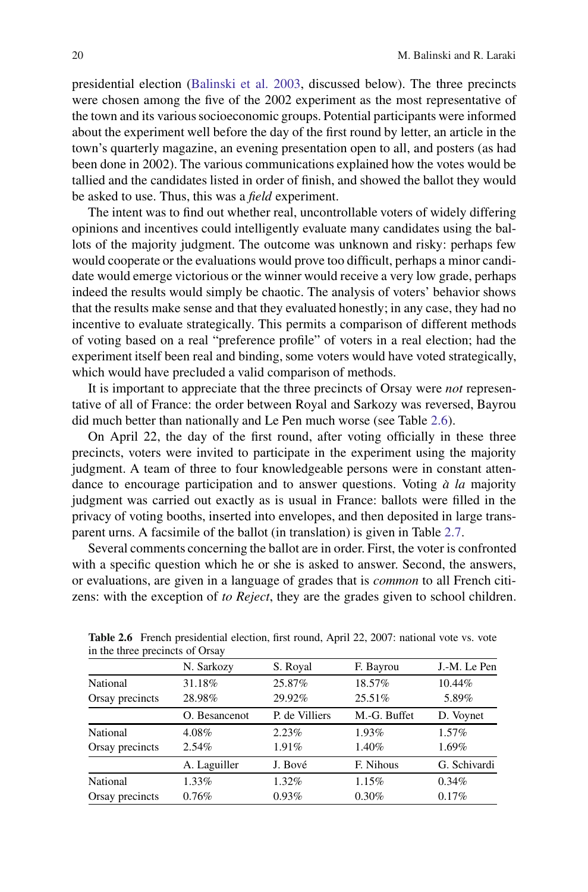presidential election [\(Balinski et al. 2003,](#page-40-10) discussed below). The three precincts were chosen among the five of the 2002 experiment as the most representative of the town and its various socioeconomic groups. Potential participants were informed about the experiment well before the day of the first round by letter, an article in the town's quarterly magazine, an evening presentation open to all, and posters (as had been done in 2002). The various communications explained how the votes would be tallied and the candidates listed in order of finish, and showed the ballot they would be asked to use. Thus, this was a *field* experiment.

The intent was to find out whether real, uncontrollable voters of widely differing opinions and incentives could intelligently evaluate many candidates using the ballots of the majority judgment. The outcome was unknown and risky: perhaps few would cooperate or the evaluations would prove too difficult, perhaps a minor candidate would emerge victorious or the winner would receive a very low grade, perhaps indeed the results would simply be chaotic. The analysis of voters' behavior shows that the results make sense and that they evaluated honestly; in any case, they had no incentive to evaluate strategically. This permits a comparison of different methods of voting based on a real "preference profile" of voters in a real election; had the experiment itself been real and binding, some voters would have voted strategically, which would have precluded a valid comparison of methods.

It is important to appreciate that the three precincts of Orsay were *not* representative of all of France: the order between Royal and Sarkozy was reversed, Bayrou did much better than nationally and Le Pen much worse (see Table [2.6\)](#page-7-0).

On April 22, the day of the first round, after voting officially in these three precincts, voters were invited to participate in the experiment using the majority judgment. A team of three to four knowledgeable persons were in constant attendance to encourage participation and to answer questions. Voting  $\dot{a}$  la majority judgment was carried out exactly as is usual in France: ballots were filled in the privacy of voting booths, inserted into envelopes, and then deposited in large transparent urns. A facsimile of the ballot (in translation) is given in Table [2.7.](#page-8-0)

Several comments concerning the ballot are in order. First, the voter is confronted with a specific question which he or she is asked to answer. Second, the answers, or evaluations, are given in a language of grades that is *common* to all French citizens: with the exception of *to Reject*, they are the grades given to school children.

<span id="page-7-0"></span>

| In the time precincts of Orsay |               |                |              |              |
|--------------------------------|---------------|----------------|--------------|--------------|
|                                | N. Sarkozy    | S. Royal       | F. Bayrou    | J.-M. Le Pen |
| National                       | 31.18%        | 25.87%         | 18.57%       | $10.44\%$    |
| Orsay precincts                | 28.98%        | 29.92%         | 25.51%       | 5.89%        |
|                                | O. Besancenot | P. de Villiers | M.-G. Buffet | D. Voynet    |
| National                       | 4.08%         | 2.23%          | $1.93\%$     | $1.57\%$     |
| Orsay precincts                | 2.54%         | 1.91%          | 1.40%        | 1.69%        |
|                                | A. Laguiller  | J. Bové        | F. Nihous    | G. Schivardi |
| National                       | 1.33%         | $1.32\%$       | 1.15%        | 0.34%        |
| Orsay precincts                | 0.76%         | 0.93%          | 0.30%        | 0.17%        |

**Table 2.6** French presidential election, first round, April 22, 2007: national vote vs. vote in the three precincts of Orsay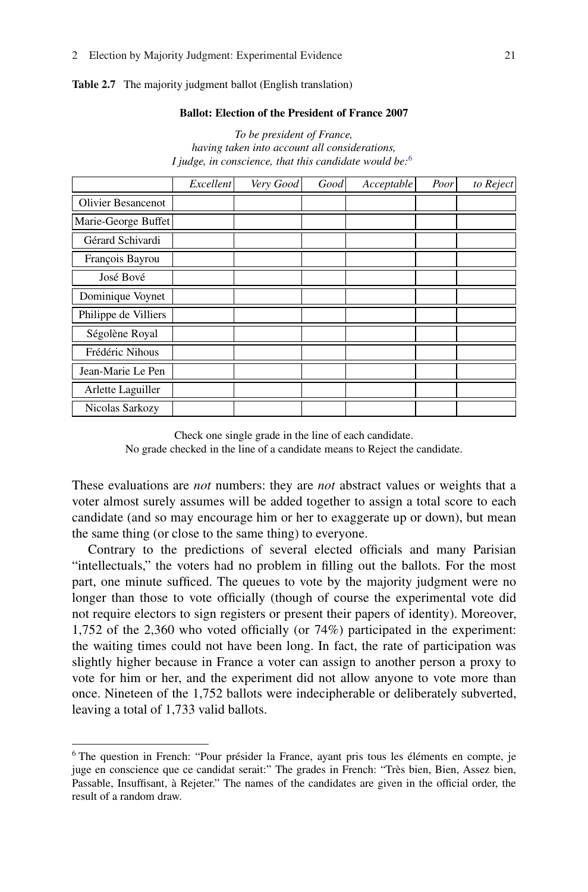#### <span id="page-8-0"></span>**Table 2.7** The majority judgment ballot (English translation)

#### **Ballot: Election of the President of France 2007**

| I juuge, in conscience, inui inis cunuuune would be. |                  |           |      |            |      |           |  |  |  |
|------------------------------------------------------|------------------|-----------|------|------------|------|-----------|--|--|--|
|                                                      | <i>Excellent</i> | Very Good | Good | Acceptable | Poor | to Reject |  |  |  |
| <b>Olivier Besancenot</b>                            |                  |           |      |            |      |           |  |  |  |
| Marie-George Buffet                                  |                  |           |      |            |      |           |  |  |  |
| Gérard Schivardi                                     |                  |           |      |            |      |           |  |  |  |
| François Bayrou                                      |                  |           |      |            |      |           |  |  |  |
| José Bové                                            |                  |           |      |            |      |           |  |  |  |
| Dominique Voynet                                     |                  |           |      |            |      |           |  |  |  |
| Philippe de Villiers                                 |                  |           |      |            |      |           |  |  |  |
| Ségolène Royal                                       |                  |           |      |            |      |           |  |  |  |
| Frédéric Nihous                                      |                  |           |      |            |      |           |  |  |  |
| Jean-Marie Le Pen                                    |                  |           |      |            |      |           |  |  |  |
| Arlette Laguiller                                    |                  |           |      |            |      |           |  |  |  |
| Nicolas Sarkozy                                      |                  |           |      |            |      |           |  |  |  |

*To be president of France, having taken into account all considerations, I judge, in conscience, that this candidate would be:*[6](#page-8-1)

Check one single grade in the line of each candidate.

No grade checked in the line of a candidate means to Reject the candidate.

These evaluations are *not* numbers: they are *not* abstract values or weights that a voter almost surely assumes will be added together to assign a total score to each candidate (and so may encourage him or her to exaggerate up or down), but mean the same thing (or close to the same thing) to everyone.

Contrary to the predictions of several elected officials and many Parisian "intellectuals," the voters had no problem in filling out the ballots. For the most part, one minute sufficed. The queues to vote by the majority judgment were no longer than those to vote officially (though of course the experimental vote did not require electors to sign registers or present their papers of identity). Moreover, 1,752 of the 2,360 who voted officially (or 74%) participated in the experiment: the waiting times could not have been long. In fact, the rate of participation was slightly higher because in France a voter can assign to another person a proxy to vote for him or her, and the experiment did not allow anyone to vote more than once. Nineteen of the 1,752 ballots were indecipherable or deliberately subverted, leaving a total of 1,733 valid ballots.

<span id="page-8-1"></span> $6$  The question in French: "Pour présider la France, ayant pris tous les éléments en compte, je juge en conscience que ce candidat serait:" The grades in French: "Très bien, Bien, Assez bien, Passable, Insuffisant, à Rejeter." The names of the candidates are given in the official order, the result of a random draw.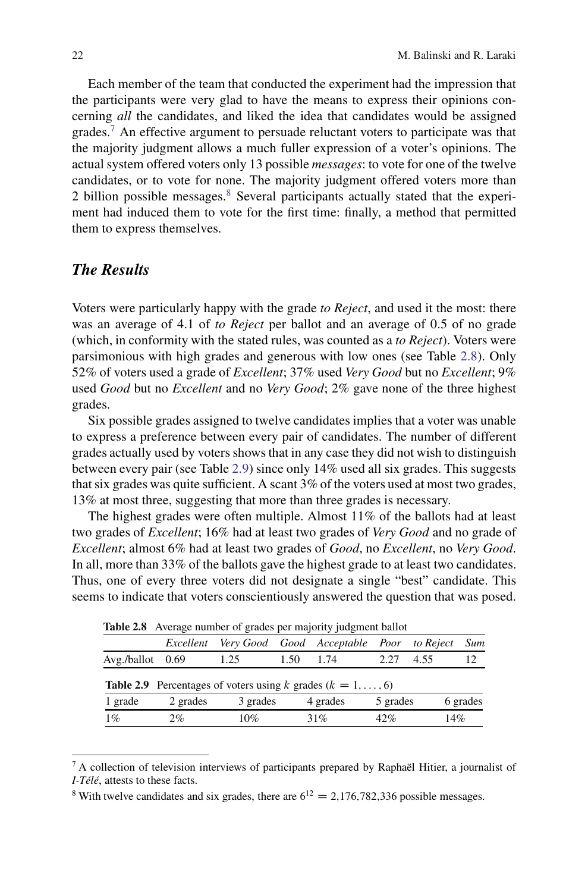Each member of the team that conducted the experiment had the impression that the participants were very glad to have the means to express their opinions concerning *all* the candidates, and liked the idea that candidates would be assigned grades.[7](#page-9-0) An effective argument to persuade reluctant voters to participate was that the majority judgment allows a much fuller expression of a voter's opinions. The actual system offered voters only 13 possible *messages*: to vote for one of the twelve candidates, or to vote for none. The majority judgment offered voters more than 2 billion possible messages. $8$  Several participants actually stated that the experiment had induced them to vote for the first time: finally, a method that permitted them to express themselves.

# *The Results*

Voters were particularly happy with the grade *to Reject*, and used it the most: there was an average of 4.1 of *to Reject* per ballot and an average of 0.5 of no grade (which, in conformity with the stated rules, was counted as a *to Reject*). Voters were parsimonious with high grades and generous with low ones (see Table [2.8\)](#page-9-2). Only 52% of voters used a grade of *Excellent*; 37% used *Very Good* but no *Excellent*; 9% used *Good* but no *Excellent* and no *Very Good*; 2% gave none of the three highest grades.

Six possible grades assigned to twelve candidates implies that a voter was unable to express a preference between every pair of candidates. The number of different grades actually used by voters shows that in any case they did not wish to distinguish between every pair (see Table [2.9\)](#page-9-3) since only 14% used all six grades. This suggests that six grades was quite sufficient. A scant 3% of the voters used at most two grades, 13% at most three, suggesting that more than three grades is necessary.

The highest grades were often multiple. Almost 11% of the ballots had at least two grades of *Excellent*; 16% had at least two grades of *Very Good* and no grade of *Excellent*; almost 6% had at least two grades of *Good*, no *Excellent*, no *Very Good*. In all, more than 33% of the ballots gave the highest grade to at least two candidates. Thus, one of every three voters did not designate a single "best" candidate. This seems to indicate that voters conscientiously answered the question that was posed.

<span id="page-9-3"></span>

| <b>Table 2.8</b> Average number of grades per majority judgment ballot |           |           |      |                      |          |           |          |  |  |  |
|------------------------------------------------------------------------|-----------|-----------|------|----------------------|----------|-----------|----------|--|--|--|
|                                                                        | Excellent | Very Good |      | Good Acceptable Poor |          | to Reject | Sum      |  |  |  |
| $Avg$ ./ballot $0.69$                                                  |           | 1.25      | 1.50 | 1.74                 | 2.27     | 4.55      | 12       |  |  |  |
| <b>Table 2.9</b> Percentages of voters using k grades $(k = 1, , 6)$   |           |           |      |                      |          |           |          |  |  |  |
| 1 grade                                                                | 2 grades  | 3 grades  |      | 4 grades             | 5 grades |           | 6 grades |  |  |  |
| $1\%$                                                                  | 2%        | 10%       |      | 31%                  | 42%      |           | 14%      |  |  |  |

<span id="page-9-2"></span>**Table 2.8** Average number of grades per majority judgment ballot

<span id="page-9-0"></span> $7$  A collection of television interviews of participants prepared by Raphaël Hitier, a journalist of *I-Télé*, attests to these facts.

<span id="page-9-1"></span><sup>&</sup>lt;sup>8</sup> With twelve candidates and six grades, there are  $6^{12} = 2,176,782,336$  possible messages.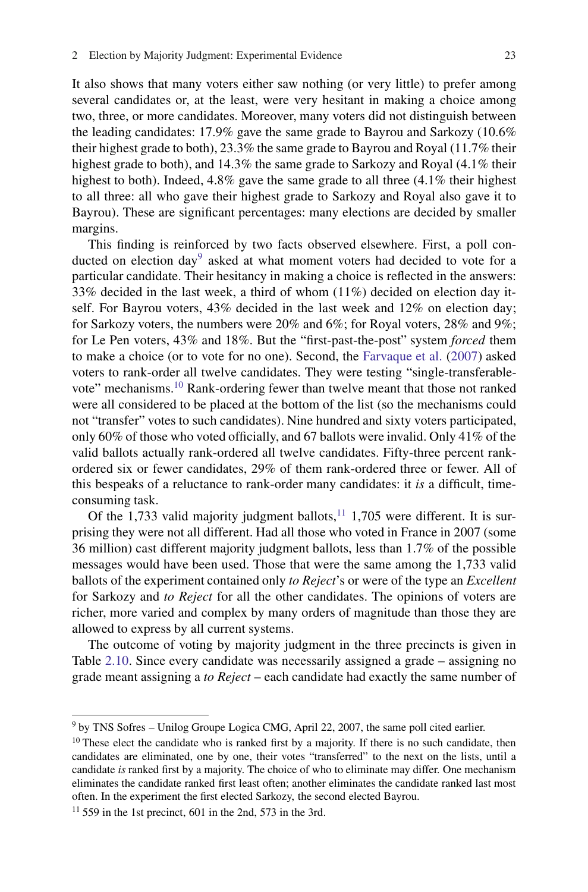It also shows that many voters either saw nothing (or very little) to prefer among several candidates or, at the least, were very hesitant in making a choice among two, three, or more candidates. Moreover, many voters did not distinguish between the leading candidates: 17.9% gave the same grade to Bayrou and Sarkozy (10.6% their highest grade to both), 23.3% the same grade to Bayrou and Royal (11.7% their highest grade to both), and 14.3% the same grade to Sarkozy and Royal (4.1% their highest to both). Indeed, 4.8% gave the same grade to all three (4.1% their highest to all three: all who gave their highest grade to Sarkozy and Royal also gave it to Bayrou). These are significant percentages: many elections are decided by smaller margins.

This finding is reinforced by two facts observed elsewhere. First, a poll con-ducted on election day<sup>[9](#page-10-0)</sup> asked at what moment voters had decided to vote for a particular candidate. Their hesitancy in making a choice is reflected in the answers: 33% decided in the last week, a third of whom (11%) decided on election day itself. For Bayrou voters, 43% decided in the last week and 12% on election day; for Sarkozy voters, the numbers were 20% and 6%; for Royal voters, 28% and 9%; for Le Pen voters, 43% and 18%. But the "first-past-the-post" system *forced* them to make a choice (or to vote for no one). Second, the [Farvaque et al.](#page-40-9) [\(2007\)](#page-40-9) asked voters to rank-order all twelve candidates. They were testing "single-transferablevote" mechanisms.[10](#page-10-1) Rank-ordering fewer than twelve meant that those not ranked were all considered to be placed at the bottom of the list (so the mechanisms could not "transfer" votes to such candidates). Nine hundred and sixty voters participated, only 60% of those who voted officially, and 67 ballots were invalid. Only 41% of the valid ballots actually rank-ordered all twelve candidates. Fifty-three percent rankordered six or fewer candidates, 29% of them rank-ordered three or fewer. All of this bespeaks of a reluctance to rank-order many candidates: it *is* a difficult, timeconsuming task.

Of the 1,733 valid majority judgment ballots, $11$  1,705 were different. It is surprising they were not all different. Had all those who voted in France in 2007 (some 36 million) cast different majority judgment ballots, less than 1.7% of the possible messages would have been used. Those that were the same among the 1,733 valid ballots of the experiment contained only *to Reject*'s or were of the type an *Excellent* for Sarkozy and *to Reject* for all the other candidates. The opinions of voters are richer, more varied and complex by many orders of magnitude than those they are allowed to express by all current systems.

The outcome of voting by majority judgment in the three precincts is given in Table [2.10.](#page-11-0) Since every candidate was necessarily assigned a grade – assigning no grade meant assigning a *to Reject* – each candidate had exactly the same number of

<sup>&</sup>lt;sup>9</sup> by TNS Sofres – Unilog Groupe Logica CMG, April 22, 2007, the same poll cited earlier.

<span id="page-10-1"></span><span id="page-10-0"></span> $10$  These elect the candidate who is ranked first by a majority. If there is no such candidate, then candidates are eliminated, one by one, their votes "transferred" to the next on the lists, until a candidate *is* ranked first by a majority. The choice of who to eliminate may differ. One mechanism eliminates the candidate ranked first least often; another eliminates the candidate ranked last most often. In the experiment the first elected Sarkozy, the second elected Bayrou.

<span id="page-10-2"></span> $11$  559 in the 1st precinct, 601 in the 2nd, 573 in the 3rd.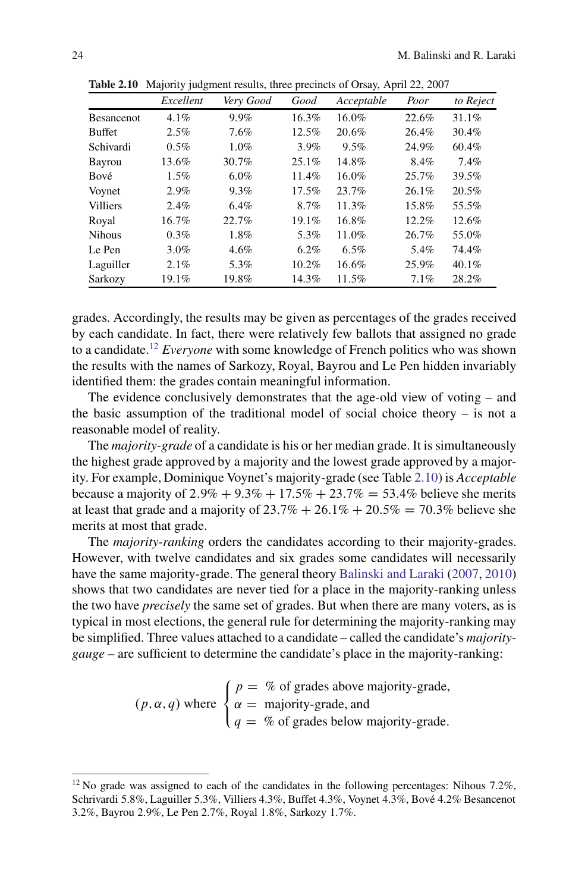|                   | Excellent | Very Good | Good    | Acceptable | Poor  | to Reject |
|-------------------|-----------|-----------|---------|------------|-------|-----------|
| <b>Besancenot</b> | $4.1\%$   | 9.9%      | 16.3%   | 16.0%      | 22.6% | $31.1\%$  |
| <b>Buffet</b>     | 2.5%      | 7.6%      | 12.5%   | 20.6%      | 26.4% | $30.4\%$  |
| Schivardi         | 0.5%      | 1.0%      | 3.9%    | 9.5%       | 24.9% | 60.4%     |
| Bayrou            | 13.6%     | 30.7%     | 25.1%   | 14.8%      | 8.4%  | 7.4%      |
| <b>Bové</b>       | 1.5%      | 6.0%      | 11.4%   | 16.0%      | 25.7% | 39.5%     |
| Voynet            | 2.9%      | 9.3%      | 17.5%   | 23.7%      | 26.1% | 20.5%     |
| <b>Villiers</b>   | 2.4%      | 6.4%      | 8.7%    | 11.3%      | 15.8% | 55.5%     |
| Royal             | 16.7%     | 22.7%     | 19.1%   | 16.8%      | 12.2% | 12.6%     |
| <b>Nihous</b>     | 0.3%      | 1.8%      | 5.3%    | 11.0%      | 26.7% | 55.0%     |
| Le Pen            | 3.0%      | 4.6%      | $6.2\%$ | 6.5%       | 5.4%  | 74.4%     |
| Laguiller         | 2.1%      | 5.3%      | 10.2%   | 16.6%      | 25.9% | $40.1\%$  |
| Sarkozy           | 19.1%     | 19.8%     | 14.3%   | 11.5%      | 7.1%  | 28.2%     |

<span id="page-11-0"></span>**Table 2.10** Majority judgment results, three precincts of Orsay, April 22, 2007

grades. Accordingly, the results may be given as percentages of the grades received by each candidate. In fact, there were relatively few ballots that assigned no grade to a candidate.[12](#page-11-1) *Everyone* with some knowledge of French politics who was shown the results with the names of Sarkozy, Royal, Bayrou and Le Pen hidden invariably identified them: the grades contain meaningful information.

The evidence conclusively demonstrates that the age-old view of voting – and the basic assumption of the traditional model of social choice theory – is not a reasonable model of reality.

The *majority-grade* of a candidate is his or her median grade. It is simultaneously the highest grade approved by a majority and the lowest grade approved by a majority. For example, Dominique Voynet's majority-grade (see Table [2.10\)](#page-11-0) is *Acceptable* because a majority of  $2.9\% + 9.3\% + 17.5\% + 23.7\% = 53.4\%$  believe she merits at least that grade and a majority of  $23.7\% + 26.1\% + 20.5\% = 70.3\%$  believe she merits at most that grade.

The *majority-ranking* orders the candidates according to their majority-grades. However, with twelve candidates and six grades some candidates will necessarily have the same majority-grade. The general theory [Balinski and Laraki](#page-40-4) [\(2007,](#page-40-4) [2010](#page-40-5)) shows that two candidates are never tied for a place in the majority-ranking unless the two have *precisely* the same set of grades. But when there are many voters, as is typical in most elections, the general rule for determining the majority-ranking may be simplified. Three values attached to a candidate – called the candidate's *majoritygauge* – are sufficient to determine the candidate's place in the majority-ranking:

$$
(p, \alpha, q)
$$
 where  $\begin{cases} p = \% \text{ of grades above majority-grade,} \\ \alpha = \text{majority-grade, and} \\ q = \% \text{ of grades below majority-grade.} \end{cases}$ 

<span id="page-11-1"></span> $12$  No grade was assigned to each of the candidates in the following percentages: Nihous 7.2%, Schrivardi 5.8%, Laguiller 5.3%, Villiers 4.3%, Buffet 4.3%, Voynet 4.3%, Bové 4.2% Besancenot 3.2%, Bayrou 2.9%, Le Pen 2.7%, Royal 1.8%, Sarkozy 1.7%.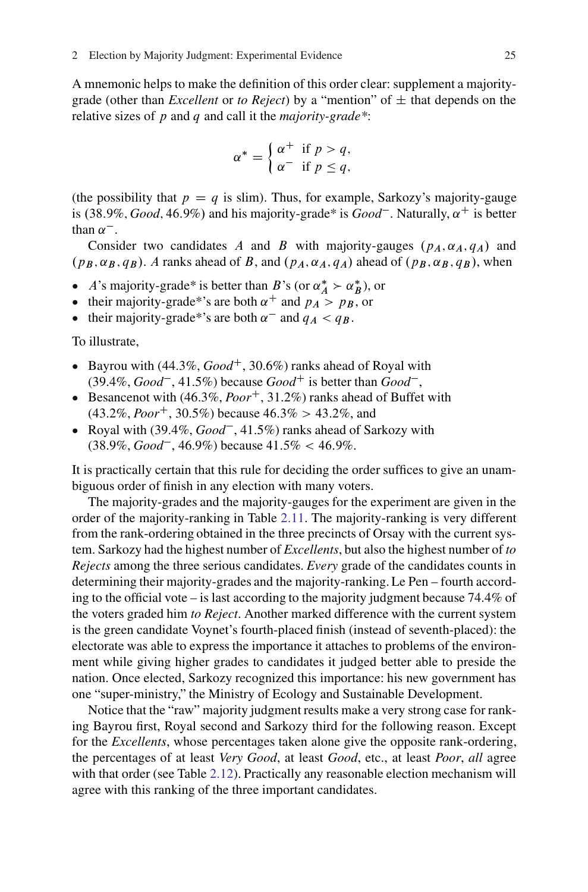A mnemonic helps to make the definition of this order clear: supplement a majoritygrade (other than *Excellent* or *to Reject*) by a "mention" of  $\pm$  that depends on the relative sizes of p and q and call it the *majority-grade\**:

$$
\alpha^* = \begin{cases} \alpha^+ & \text{if } p > q, \\ \alpha^- & \text{if } p \le q, \end{cases}
$$

(the possibility that  $p = q$  is slim). Thus, for example, Sarkozy's majority-gauge is  $(38.9\%, Good, 46.9\%)$  and his majority-grade\* is  $Good^-$ . Naturally,  $\alpha^+$  is better than  $\alpha^-$ .

Consider two candidates A and B with majority-gauges  $(p_A, \alpha_A, q_A)$  and  $(p_B, \alpha_B, q_B)$ . A ranks ahead of B, and  $(p_A, \alpha_A, q_A)$  ahead of  $(p_B, \alpha_B, q_B)$ , when

- A's majority-grade\* is better than B's (or  $\alpha_A^* > \alpha_B^*$ ), or<br>A their majority-grade\*'s are both  $\alpha^+$  and  $n \rightarrow \alpha_B$  or
- their majority-grade\*'s are both  $\alpha^+$  and  $p_A > p_B$ , or
- their majority-grade\*'s are both  $\alpha^-$  and  $q_A < q_B$ .

To illustrate,

- Bayrou with  $(44.3\%, Good^+, 30.6\%)$  ranks ahead of Royal with  $(39.4\%, Good^-, 41.5\%)$  because  $Good^+$  is better than  $Good^-,$
- Besancenot with  $(46.3\%,$  *Poor*<sup>+</sup>, 31.2%) ranks ahead of Buffet with  $(43.2\%,$  *Poor*<sup>+</sup>, 30.5%) because  $46.3\% > 43.2\%$ , and
- Royal with  $(39.4\%, Good^-, 41.5\%)$  ranks ahead of Sarkozy with  $(38.9\%, Good^-, 46.9\%)$  because  $41.5\% < 46.9\%$ .

It is practically certain that this rule for deciding the order suffices to give an unambiguous order of finish in any election with many voters.

The majority-grades and the majority-gauges for the experiment are given in the order of the majority-ranking in Table [2.11.](#page-13-0) The majority-ranking is very different from the rank-ordering obtained in the three precincts of Orsay with the current system. Sarkozy had the highest number of *Excellents*, but also the highest number of *to Rejects* among the three serious candidates. *Every* grade of the candidates counts in determining their majority-grades and the majority-ranking. Le Pen – fourth according to the official vote – is last according to the majority judgment because 74.4% of the voters graded him *to Reject*. Another marked difference with the current system is the green candidate Voynet's fourth-placed finish (instead of seventh-placed): the electorate was able to express the importance it attaches to problems of the environment while giving higher grades to candidates it judged better able to preside the nation. Once elected, Sarkozy recognized this importance: his new government has one "super-ministry," the Ministry of Ecology and Sustainable Development.

Notice that the "raw" majority judgment results make a very strong case for ranking Bayrou first, Royal second and Sarkozy third for the following reason. Except for the *Excellents*, whose percentages taken alone give the opposite rank-ordering, the percentages of at least *Very Good*, at least *Good*, etc., at least *Poor*, *all* agree with that order (see Table [2.12\)](#page-13-1). Practically any reasonable election mechanism will agree with this ranking of the three important candidates.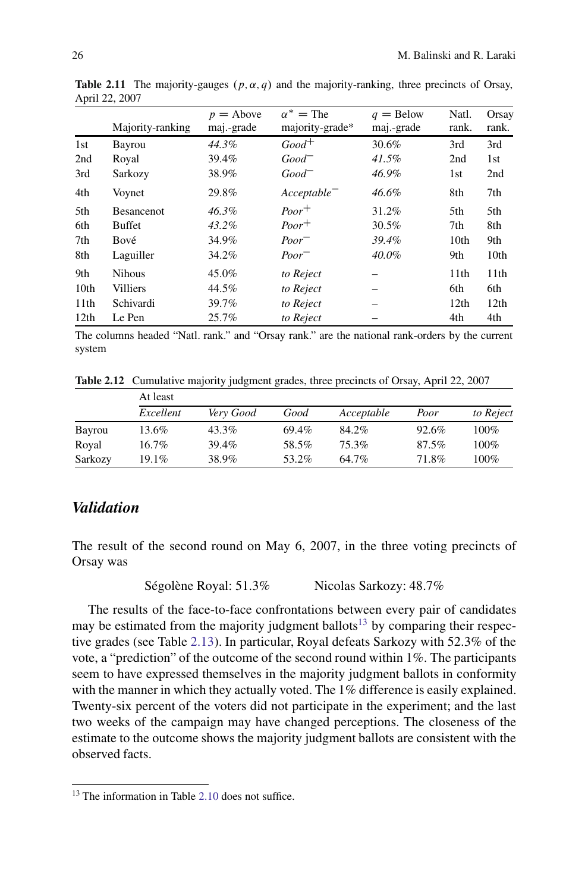|                  | Majority-ranking                                                                               | $p =$ Above<br>maj.-grade | $\alpha^*$ = The<br>majority-grade* | $q =$ Below<br>maj.-grade | Natl.<br>rank. | Orsay<br>rank.   |
|------------------|------------------------------------------------------------------------------------------------|---------------------------|-------------------------------------|---------------------------|----------------|------------------|
| 1st              | Bayrou                                                                                         | 44.3%                     | $Good+$                             | 30.6%                     | 3rd            | 3rd              |
| 2nd              | Royal                                                                                          | 39.4%                     | $Good^-$                            | $41.5\%$                  | 2nd            | 1st              |
| 3rd              | Sarkozy                                                                                        | 38.9%                     | $Good^-$                            | 46.9%                     | 1st            | 2nd              |
| 4th              | Voynet                                                                                         | 29.8%                     | $Acceptable^-$                      | 46.6%                     | 8th            | 7th              |
| 5th              | <b>Besancenot</b>                                                                              | 46.3%                     | $Poor$ <sup>+</sup>                 | 31.2%                     | 5th            | 5th              |
| 6th              | <b>Buffet</b>                                                                                  | 43.2%                     | $Poor^+$                            | 30.5%                     | 7th            | 8th              |
| 7th              | Bové                                                                                           | 34.9%                     | $Poor^-$                            | 39.4%                     | 10th           | 9th              |
| 8th              | Laguiller                                                                                      | 34.2%                     | $Poor^-$                            | $40.0\%$                  | 9th            | 10 <sub>th</sub> |
| 9th              | <b>Nihous</b>                                                                                  | 45.0%                     | to Reject                           |                           | 11th           | 11th             |
| 10 <sub>th</sub> | Villiers                                                                                       | 44.5%                     | to Reject                           |                           | 6th            | 6th              |
| 11 <sup>th</sup> | Schivardi                                                                                      | 39.7%                     | to Reject                           |                           | 12th           | 12th             |
| 12th             | Le Pen                                                                                         | 25.7%                     | to Reject                           |                           | 4th            | 4th              |
|                  | The columns headed "Natl. rank." and "Orsay rank." are the national rank-orders by the current |                           |                                     |                           |                |                  |

<span id="page-13-0"></span>**Table 2.11** The majority-gauges  $(p, \alpha, q)$  and the majority-ranking, three precincts of Orsay, April 22, 2007

system

**Table 2.12** Cumulative majority judgment grades, three precincts of Orsay, April 22, 2007

<span id="page-13-1"></span>

|         | At least  |           |       |            |       |           |  |  |  |  |
|---------|-----------|-----------|-------|------------|-------|-----------|--|--|--|--|
|         | Excellent | Very Good | Good  | Acceptable | Poor  | to Reject |  |  |  |  |
| Bayrou  | 13.6%     | 43.3%     | 69.4% | 84.2%      | 92.6% | 100%      |  |  |  |  |
| Royal   | 16.7%     | 39.4%     | 58.5% | 75.3%      | 87.5% | 100%      |  |  |  |  |
| Sarkozy | 19.1%     | 38.9%     | 53.2% | 64.7%      | 71.8% | 100%      |  |  |  |  |

# *Validation*

The result of the second round on May 6, 2007, in the three voting precincts of Orsay was

Ségolène Royal: 51.3% Nicolas Sarkozy: 48.7%

The results of the face-to-face confrontations between every pair of candidates may be estimated from the majority judgment ballots<sup>13</sup> by comparing their respective grades (see Table [2.13\)](#page-14-0). In particular, Royal defeats Sarkozy with 52.3% of the vote, a "prediction" of the outcome of the second round within 1%. The participants seem to have expressed themselves in the majority judgment ballots in conformity with the manner in which they actually voted. The 1% difference is easily explained. Twenty-six percent of the voters did not participate in the experiment; and the last two weeks of the campaign may have changed perceptions. The closeness of the estimate to the outcome shows the majority judgment ballots are consistent with the observed facts.

<span id="page-13-2"></span><sup>&</sup>lt;sup>13</sup> The information in Table [2.10](#page-11-0) does not suffice.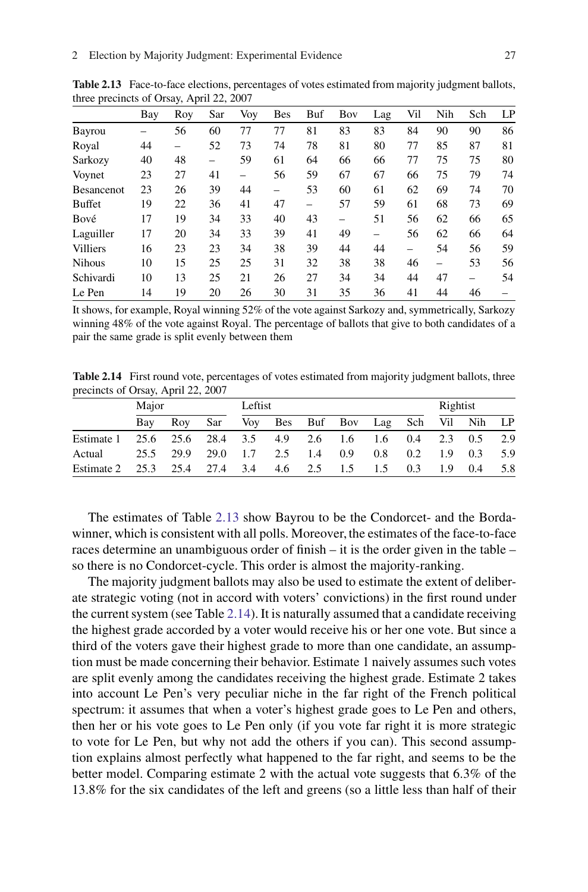| $\mathbf{r}$      | Bay | 5.000, 1.1001, 2.000<br>Roy | Sar | Voy | <b>Bes</b> | Buf                      | Boy | Lag | Vil | Nih             | Sch      | LP |
|-------------------|-----|-----------------------------|-----|-----|------------|--------------------------|-----|-----|-----|-----------------|----------|----|
|                   |     |                             |     |     |            |                          |     |     |     |                 |          |    |
| Bayrou            |     | 56                          | 60  | 77  | 77         | 81                       | 83  | 83  | 84  | 90              | 90       | 86 |
| Royal             | 44  | $\overline{\phantom{0}}$    | 52  | 73  | 74         | 78                       | 81  | 80  | 77  | 85              | 87       | 81 |
| Sarkozy           | 40  | 48                          | -   | 59  | 61         | 64                       | 66  | 66  | 77  | 75              | 75       | 80 |
| Voynet            | 23  | 27                          | 41  | -   | 56         | 59                       | 67  | 67  | 66  | 75              | 79       | 74 |
| <b>Besancenot</b> | 23  | 26                          | 39  | 44  | -          | 53                       | 60  | 61  | 62  | 69              | 74       | 70 |
| <b>Buffet</b>     | 19  | 22                          | 36  | 41  | 47         | $\overline{\phantom{0}}$ | 57  | 59  | 61  | 68              | 73       | 69 |
| <b>Bové</b>       | 17  | 19                          | 34  | 33  | 40         | 43                       | -   | 51  | 56  | 62              | 66       | 65 |
| Laguiller         | 17  | 20                          | 34  | 33  | 39         | 41                       | 49  |     | 56  | 62              | 66       | 64 |
| <b>Villiers</b>   | 16  | 23                          | 23  | 34  | 38         | 39                       | 44  | 44  |     | 54              | 56       | 59 |
| <b>Nihous</b>     | 10  | 15                          | 25  | 25  | 31         | 32                       | 38  | 38  | 46  | $\qquad \qquad$ | 53       | 56 |
| Schivardi         | 10  | 13                          | 25  | 21  | 26         | 27                       | 34  | 34  | 44  | 47              | $\equiv$ | 54 |
| Le Pen            | 14  | 19                          | 20  | 26  | 30         | 31                       | 35  | 36  | 41  | 44              | 46       |    |

<span id="page-14-0"></span>**Table 2.13** Face-to-face elections, percentages of votes estimated from majority judgment ballots, three precincts of Orsay, April 22, 2007

It shows, for example, Royal winning 52% of the vote against Sarkozy and, symmetrically, Sarkozy winning 48% of the vote against Royal. The percentage of ballots that give to both candidates of a pair the same grade is split evenly between them

<span id="page-14-1"></span>**Table 2.14** First round vote, percentages of votes estimated from majority judgment ballots, three precincts of Orsay, April 22, 2007

|            |      | Maior              |      |      | Leftist |     |                     |           |     |     | Rightist      |     |  |
|------------|------|--------------------|------|------|---------|-----|---------------------|-----------|-----|-----|---------------|-----|--|
|            | Bay  | Roy                | Sar  | Voy. |         |     | Bes Buf Boy Lag Sch |           |     | Vil | Nih           | LP  |  |
| Estimate 1 |      | 25.6 25.6 28.4 3.5 |      |      | 4.9     | 2.6 | 1.6                 | $1.6$ 0.4 |     | 2.3 | 0.5           | 2.9 |  |
| Actual     | 25.5 | 29.9               | 29.0 | 1.7  | 2.5     | 1.4 | 0.9                 | 0.8       | 0.2 | 1.9 | 0.3           | 5.9 |  |
| Estimate 2 | 25.3 | 25.4               | 27.4 | 3.4  | 4.6     | 2.5 | 1.5                 | 1.5       | 0.3 | 1.9 | $0.4^{\circ}$ | 5.8 |  |

The estimates of Table [2.13](#page-14-0) show Bayrou to be the Condorcet- and the Bordawinner, which is consistent with all polls. Moreover, the estimates of the face-to-face races determine an unambiguous order of finish – it is the order given in the table – so there is no Condorcet-cycle. This order is almost the majority-ranking.

The majority judgment ballots may also be used to estimate the extent of deliberate strategic voting (not in accord with voters' convictions) in the first round under the current system (see Table [2.14\)](#page-14-1). It is naturally assumed that a candidate receiving the highest grade accorded by a voter would receive his or her one vote. But since a third of the voters gave their highest grade to more than one candidate, an assumption must be made concerning their behavior. Estimate 1 naively assumes such votes are split evenly among the candidates receiving the highest grade. Estimate 2 takes into account Le Pen's very peculiar niche in the far right of the French political spectrum: it assumes that when a voter's highest grade goes to Le Pen and others, then her or his vote goes to Le Pen only (if you vote far right it is more strategic to vote for Le Pen, but why not add the others if you can). This second assumption explains almost perfectly what happened to the far right, and seems to be the better model. Comparing estimate 2 with the actual vote suggests that 6.3% of the 13.8% for the six candidates of the left and greens (so a little less than half of their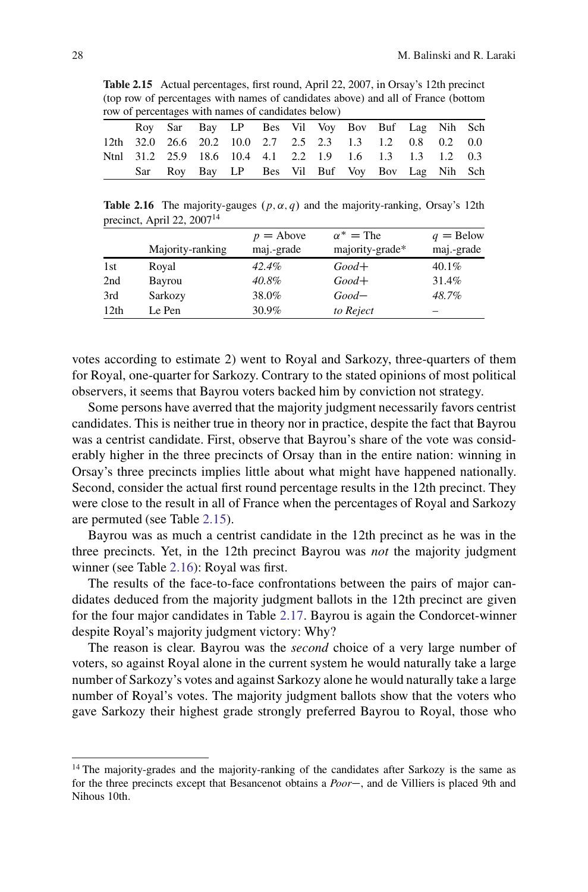<span id="page-15-0"></span>**Table 2.15** Actual percentages, first round, April 22, 2007, in Orsay's 12th precinct (top row of percentages with names of candidates above) and all of France (bottom row of percentages with names of candidates below)

|  |  | Roy Sar Bay LP Bes Vil Voy Bov Buf Lag Nih Sch           |  |  |  |  |
|--|--|----------------------------------------------------------|--|--|--|--|
|  |  | 12th 32.0 26.6 20.2 10.0 2.7 2.5 2.3 1.3 1.2 0.8 0.2 0.0 |  |  |  |  |
|  |  | Ntnl 31.2 25.9 18.6 10.4 4.1 2.2 1.9 1.6 1.3 1.3 1.2 0.3 |  |  |  |  |
|  |  | Sar Roy Bay LP Bes Vil Buf Voy Boy Lag Nih Sch           |  |  |  |  |

<span id="page-15-1"></span>**Table 2.16** The majority-gauges  $(p, \alpha, q)$  and the majority-ranking, Orsay's 12th precinct, April 22, 200714

|                  |                  | $p =$ Above | $\alpha^*$ = The | $q =$ Below |
|------------------|------------------|-------------|------------------|-------------|
|                  | Majority-ranking | maj.-grade  | majority-grade*  | maj.-grade  |
| 1st              | Royal            | 42.4%       | $Good+$          | $40.1\%$    |
| 2nd              | Bayrou           | 40.8%       | $Good+$          | 31.4%       |
| 3rd              | Sarkozy          | 38.0%       | $Good-$          | 48.7%       |
| 12 <sub>th</sub> | Le Pen           | 30.9%       | to Reject        |             |
|                  |                  |             |                  |             |

votes according to estimate 2) went to Royal and Sarkozy, three-quarters of them for Royal, one-quarter for Sarkozy. Contrary to the stated opinions of most political observers, it seems that Bayrou voters backed him by conviction not strategy.

Some persons have averred that the majority judgment necessarily favors centrist candidates. This is neither true in theory nor in practice, despite the fact that Bayrou was a centrist candidate. First, observe that Bayrou's share of the vote was considerably higher in the three precincts of Orsay than in the entire nation: winning in Orsay's three precincts implies little about what might have happened nationally. Second, consider the actual first round percentage results in the 12th precinct. They were close to the result in all of France when the percentages of Royal and Sarkozy are permuted (see Table [2.15\)](#page-15-0).

Bayrou was as much a centrist candidate in the 12th precinct as he was in the three precincts. Yet, in the 12th precinct Bayrou was *not* the majority judgment winner (see Table [2.16\)](#page-15-1): Royal was first.

The results of the face-to-face confrontations between the pairs of major candidates deduced from the majority judgment ballots in the 12th precinct are given for the four major candidates in Table [2.17.](#page-16-0) Bayrou is again the Condorcet-winner despite Royal's majority judgment victory: Why?

The reason is clear. Bayrou was the *second* choice of a very large number of voters, so against Royal alone in the current system he would naturally take a large number of Sarkozy's votes and against Sarkozy alone he would naturally take a large number of Royal's votes. The majority judgment ballots show that the voters who gave Sarkozy their highest grade strongly preferred Bayrou to Royal, those who

<sup>&</sup>lt;sup>14</sup> The majority-grades and the majority-ranking of the candidates after Sarkozy is the same as for the three precincts except that Besancenot obtains a *Poor*-, and de Villiers is placed 9th and Nihous 10th.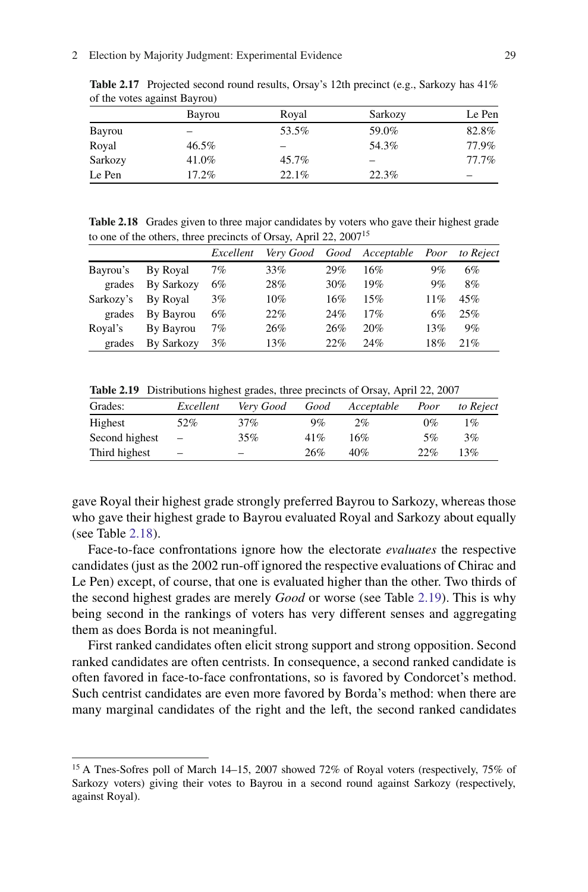<span id="page-16-0"></span>

|         | Bayrou | Royal                    | Sarkozy | Le Pen |
|---------|--------|--------------------------|---------|--------|
| Bayrou  | -      | 53.5%                    | 59.0%   | 82.8%  |
| Royal   | 46.5%  | $\overline{\phantom{a}}$ | 54.3%   | 77.9%  |
| Sarkozy | 41.0%  | 45.7%                    |         | 77.7%  |
| Le Pen  | 17.2%  | 22.1%                    | 22.3%   | -      |

**Table 2.17** Projected second round results, Orsay's 12th precinct (e.g., Sarkozy has 41% of the votes against Bayrou)

<span id="page-16-1"></span>**Table 2.18** Grades given to three major candidates by voters who gave their highest grade to one of the others, three precincts of Orsay, April 22, 200715

|           |                   | Excellent | Very Good |     | Good Acceptable Poor to Reject |        |       |
|-----------|-------------------|-----------|-----------|-----|--------------------------------|--------|-------|
| Bayrou's  | By Royal          | 7%        | 33%       | 29% | 16%                            | 9%     | 6%    |
| grades    | By Sarkozy        | 6%        | 28%       | 30% | 19%                            | 9%     | 8%    |
| Sarkozy's | By Royal          | $3\%$     | 10%       | 16% | 15%                            | $11\%$ | 45%   |
| grades    | By Bayrou         | 6%        | 22%       | 24% | 17%                            | 6%     | 25%   |
| Royal's   | By Bayrou         | 7%        | 26%       | 26% | 20%                            | 13%    | $9\%$ |
| grades    | <b>By Sarkozy</b> | 3%        | 13%       | 22% | 24%                            | 18%    | 21%   |

**Table 2.19** Distributions highest grades, three precincts of Orsay, April 22, 2007

<span id="page-16-2"></span>

| Grades:        | Excellent                | Very Good | Good | Acceptable | Poor  | to Reject |
|----------------|--------------------------|-----------|------|------------|-------|-----------|
| Highest        | 52%                      | 37%       | 9%   | 2%         | $0\%$ | 1%        |
| Second highest | $\overline{\phantom{0}}$ | 35%       | 41%  | 16%        | 5%    | 3%        |
| Third highest  | $\qquad \qquad -$        | -         | 26%  | 40%        | 22%   | 13%       |

gave Royal their highest grade strongly preferred Bayrou to Sarkozy, whereas those who gave their highest grade to Bayrou evaluated Royal and Sarkozy about equally (see Table [2.18\)](#page-16-1).

Face-to-face confrontations ignore how the electorate *evaluates* the respective candidates (just as the 2002 run-off ignored the respective evaluations of Chirac and Le Pen) except, of course, that one is evaluated higher than the other. Two thirds of the second highest grades are merely *Good* or worse (see Table [2.19\)](#page-16-2). This is why being second in the rankings of voters has very different senses and aggregating them as does Borda is not meaningful.

First ranked candidates often elicit strong support and strong opposition. Second ranked candidates are often centrists. In consequence, a second ranked candidate is often favored in face-to-face confrontations, so is favored by Condorcet's method. Such centrist candidates are even more favored by Borda's method: when there are many marginal candidates of the right and the left, the second ranked candidates

<sup>&</sup>lt;sup>15</sup> A Tnes-Sofres poll of March 14–15, 2007 showed 72% of Royal voters (respectively, 75% of Sarkozy voters) giving their votes to Bayrou in a second round against Sarkozy (respectively, against Royal).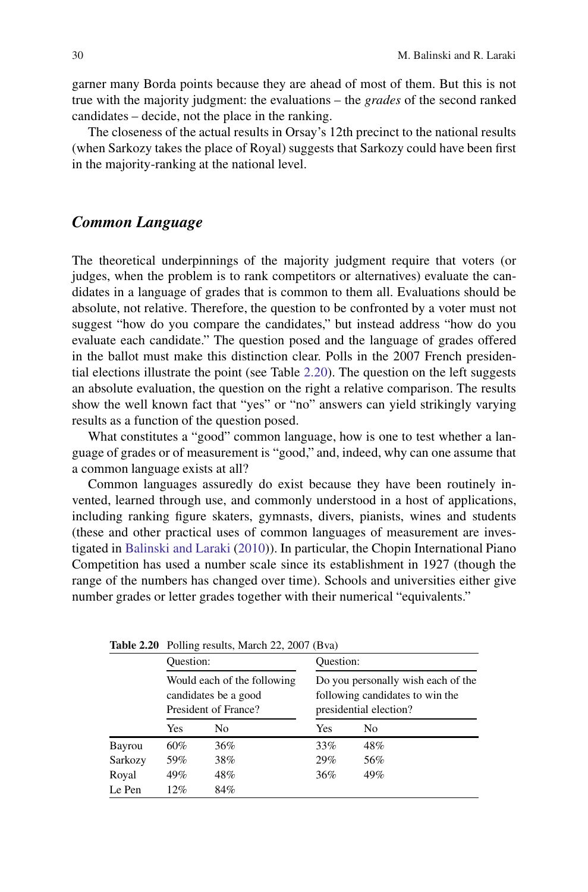garner many Borda points because they are ahead of most of them. But this is not true with the majority judgment: the evaluations – the *grades* of the second ranked candidates – decide, not the place in the ranking.

The closeness of the actual results in Orsay's 12th precinct to the national results (when Sarkozy takes the place of Royal) suggests that Sarkozy could have been first in the majority-ranking at the national level.

#### *Common Language*

The theoretical underpinnings of the majority judgment require that voters (or judges, when the problem is to rank competitors or alternatives) evaluate the candidates in a language of grades that is common to them all. Evaluations should be absolute, not relative. Therefore, the question to be confronted by a voter must not suggest "how do you compare the candidates," but instead address "how do you evaluate each candidate." The question posed and the language of grades offered in the ballot must make this distinction clear. Polls in the 2007 French presidential elections illustrate the point (see Table [2.20\)](#page-17-0). The question on the left suggests an absolute evaluation, the question on the right a relative comparison. The results show the well known fact that "yes" or "no" answers can yield strikingly varying results as a function of the question posed.

What constitutes a "good" common language, how is one to test whether a language of grades or of measurement is "good," and, indeed, why can one assume that a common language exists at all?

Common languages assuredly do exist because they have been routinely invented, learned through use, and commonly understood in a host of applications, including ranking figure skaters, gymnasts, divers, pianists, wines and students (these and other practical uses of common languages of measurement are investigated in [Balinski and Laraki](#page-40-5) [\(2010](#page-40-5))). In particular, the Chopin International Piano Competition has used a number scale since its establishment in 1927 (though the range of the numbers has changed over time). Schools and universities either give number grades or letter grades together with their numerical "equivalents."

<span id="page-17-0"></span>

|         |           | <b>Table 2.20</b> T billing results, ividicit 22, 2007 (DVd)                |                                                                                                              |     |  |  |  |
|---------|-----------|-----------------------------------------------------------------------------|--------------------------------------------------------------------------------------------------------------|-----|--|--|--|
|         | Question: |                                                                             | Question:<br>Do you personally wish each of the<br>following candidates to win the<br>presidential election? |     |  |  |  |
|         |           | Would each of the following<br>candidates be a good<br>President of France? |                                                                                                              |     |  |  |  |
|         | Yes       | No                                                                          | Yes                                                                                                          | No  |  |  |  |
| Bayrou  | 60%       | 36%                                                                         | 33%                                                                                                          | 48% |  |  |  |
| Sarkozy | 59%       | 38%                                                                         | 29%                                                                                                          | 56% |  |  |  |
| Royal   | 49%       | 48%                                                                         | 36%                                                                                                          | 49% |  |  |  |
| Le Pen  | 12%       | 84%                                                                         |                                                                                                              |     |  |  |  |

**Table 2.20** Polling results, March 22, 2007 (Bva)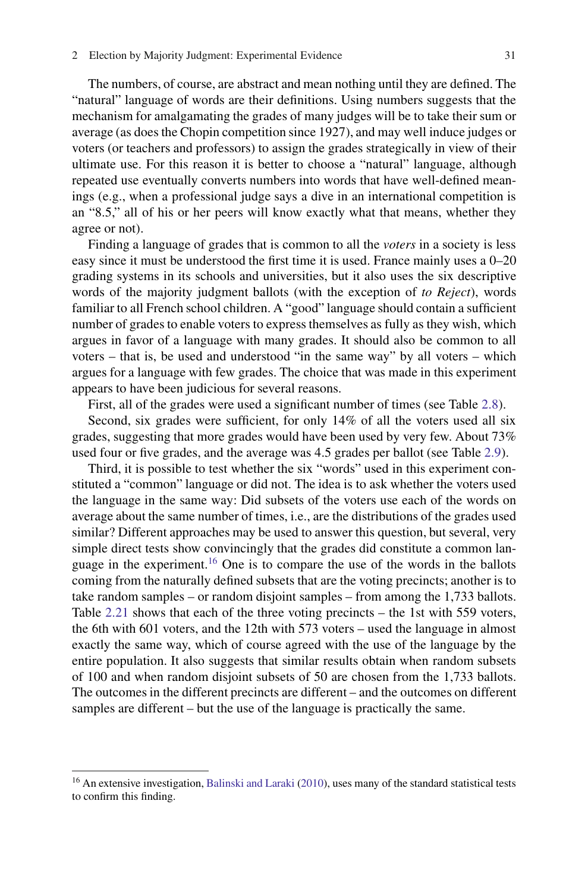The numbers, of course, are abstract and mean nothing until they are defined. The "natural" language of words are their definitions. Using numbers suggests that the mechanism for amalgamating the grades of many judges will be to take their sum or average (as does the Chopin competition since 1927), and may well induce judges or voters (or teachers and professors) to assign the grades strategically in view of their ultimate use. For this reason it is better to choose a "natural" language, although repeated use eventually converts numbers into words that have well-defined meanings (e.g., when a professional judge says a dive in an international competition is an "8.5," all of his or her peers will know exactly what that means, whether they agree or not).

Finding a language of grades that is common to all the *voters* in a society is less easy since it must be understood the first time it is used. France mainly uses a 0–20 grading systems in its schools and universities, but it also uses the six descriptive words of the majority judgment ballots (with the exception of *to Reject*), words familiar to all French school children. A "good" language should contain a sufficient number of grades to enable voters to express themselves as fully as they wish, which argues in favor of a language with many grades. It should also be common to all voters – that is, be used and understood "in the same way" by all voters – which argues for a language with few grades. The choice that was made in this experiment appears to have been judicious for several reasons.

First, all of the grades were used a significant number of times (see Table [2.8\)](#page-9-2).

Second, six grades were sufficient, for only 14% of all the voters used all six grades, suggesting that more grades would have been used by very few. About 73% used four or five grades, and the average was 4.5 grades per ballot (see Table [2.9\)](#page-9-3).

Third, it is possible to test whether the six "words" used in this experiment constituted a "common" language or did not. The idea is to ask whether the voters used the language in the same way: Did subsets of the voters use each of the words on average about the same number of times, i.e., are the distributions of the grades used similar? Different approaches may be used to answer this question, but several, very simple direct tests show convincingly that the grades did constitute a common language in the experiment.[16](#page-18-0) One is to compare the use of the words in the ballots coming from the naturally defined subsets that are the voting precincts; another is to take random samples – or random disjoint samples – from among the 1,733 ballots. Table [2.21](#page-19-0) shows that each of the three voting precincts – the 1st with 559 voters, the 6th with 601 voters, and the 12th with 573 voters – used the language in almost exactly the same way, which of course agreed with the use of the language by the entire population. It also suggests that similar results obtain when random subsets of 100 and when random disjoint subsets of 50 are chosen from the 1,733 ballots. The outcomes in the different precincts are different – and the outcomes on different samples are different – but the use of the language is practically the same.

<span id="page-18-0"></span><sup>&</sup>lt;sup>16</sup> An extensive investigation, [Balinski and Laraki](#page-40-5) [\(2010\)](#page-40-5), uses many of the standard statistical tests to confirm this finding.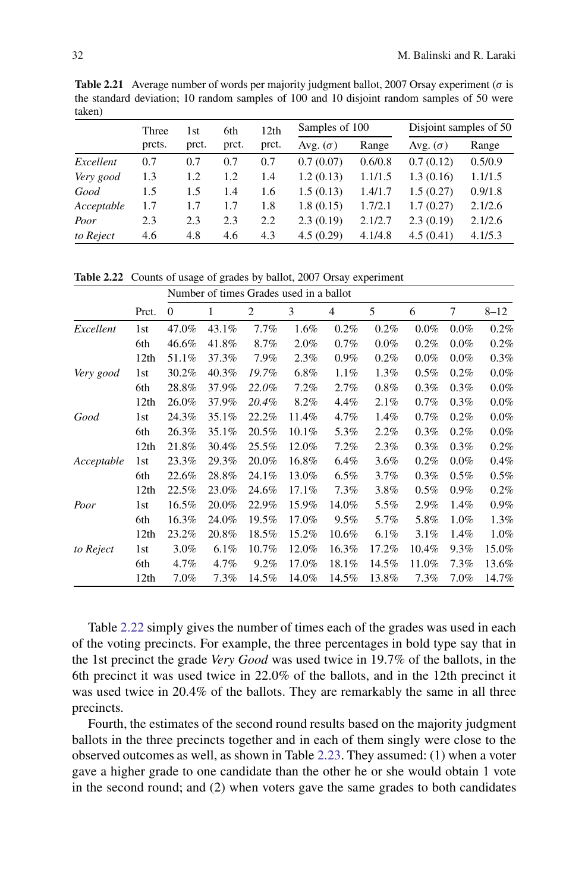<span id="page-19-0"></span>**Table 2.21** Average number of words per majority judgment ballot, 2007 Orsay experiment ( $\sigma$  is the standard deviation; 10 random samples of 100 and 10 disjoint random samples of 50 were taken)

|            | Three  | 1st   | 6th   | 12th  | Samples of 100  |         | Disjoint samples of 50 |         |
|------------|--------|-------|-------|-------|-----------------|---------|------------------------|---------|
|            | prets. | prct. | prct. | prct. | Avg. $(\sigma)$ | Range   | Avg. $(\sigma)$        | Range   |
| Excellent  | 0.7    | 0.7   | 0.7   | 0.7   | 0.7(0.07)       | 0.6/0.8 | 0.7(0.12)              | 0.5/0.9 |
| Very good  | 1.3    | 1.2   | 1.2   | 1.4   | 1.2(0.13)       | 1.1/1.5 | 1.3(0.16)              | 1.1/1.5 |
| Good       | 1.5    | 1.5   | 1.4   | 1.6   | 1.5(0.13)       | 1.4/1.7 | 1.5(0.27)              | 0.9/1.8 |
| Acceptable | 1.7    | 1.7   | 1.7   | 1.8   | 1.8(0.15)       | 1.7/2.1 | 1.7(0.27)              | 2.1/2.6 |
| Poor       | 2.3    | 2.3   | 2.3   | 2.2   | 2.3(0.19)       | 2.1/2.7 | 2.3(0.19)              | 2.1/2.6 |
| to Reject  | 4.6    | 4.8   | 4.6   | 4.3   | 4.5(0.29)       | 4.1/4.8 | 4.5(0.41)              | 4.1/5.3 |

**Table 2.22** Counts of usage of grades by ballot, 2007 Orsay experiment

<span id="page-19-1"></span>Number of times Grades used in a ballot

|            |       | inumber of times chaues used in a bande |         |          |         |                |         |         |         |          |
|------------|-------|-----------------------------------------|---------|----------|---------|----------------|---------|---------|---------|----------|
|            | Prct. | $\mathbf{0}$                            | 1       | 2        | 3       | $\overline{4}$ | 5       | 6       | 7       | $8 - 12$ |
| Excellent  | 1st   | 47.0%                                   | 43.1%   | 7.7%     | 1.6%    | 0.2%           | 0.2%    | $0.0\%$ | $0.0\%$ | 0.2%     |
|            | 6th   | 46.6%                                   | 41.8%   | 8.7%     | 2.0%    | 0.7%           | $0.0\%$ | 0.2%    | $0.0\%$ | 0.2%     |
|            | 12th  | 51.1%                                   | 37.3%   | 7.9%     | 2.3%    | $0.9\%$        | 0.2%    | $0.0\%$ | $0.0\%$ | 0.3%     |
| Very good  | 1st   | 30.2%                                   | 40.3%   | 19.7%    | $6.8\%$ | 1.1%           | 1.3%    | 0.5%    | 0.2%    | $0.0\%$  |
|            | 6th   | 28.8%                                   | 37.9%   | 22.0%    | 7.2%    | 2.7%           | 0.8%    | 0.3%    | 0.3%    | $0.0\%$  |
|            | 12th  | 26.0%                                   | 37.9%   | 20.4%    | 8.2%    | 4.4%           | 2.1%    | 0.7%    | 0.3%    | $0.0\%$  |
| Good       | 1st   | 24.3%                                   | 35.1%   | 22.2%    | 11.4%   | 4.7%           | 1.4%    | 0.7%    | 0.2%    | $0.0\%$  |
|            | 6th   | 26.3%                                   | 35.1%   | 20.5%    | 10.1%   | 5.3%           | $2.2\%$ | 0.3%    | 0.2%    | $0.0\%$  |
|            | 12th  | 21.8%                                   | 30.4%   | 25.5%    | 12.0%   | $7.2\%$        | $2.3\%$ | 0.3%    | 0.3%    | 0.2%     |
| Acceptable | 1st   | 23.3%                                   | 29.3%   | 20.0%    | 16.8%   | 6.4%           | 3.6%    | 0.2%    | $0.0\%$ | 0.4%     |
|            | 6th   | 22.6%                                   | 28.8%   | 24.1%    | 13.0%   | $6.5\%$        | 3.7%    | 0.3%    | $0.5\%$ | 0.5%     |
|            | 12th  | 22.5%                                   | 23.0%   | 24.6%    | 17.1%   | 7.3%           | 3.8%    | 0.5%    | $0.9\%$ | 0.2%     |
| Poor       | 1st   | 16.5%                                   | 20.0%   | 22.9%    | 15.9%   | 14.0%          | 5.5%    | 2.9%    | 1.4%    | $0.9\%$  |
|            | 6th   | 16.3%                                   | 24.0%   | 19.5%    | 17.0%   | $9.5\%$        | 5.7%    | 5.8%    | 1.0%    | 1.3%     |
|            | 12th  | 23.2%                                   | 20.8%   | 18.5%    | 15.2%   | $10.6\%$       | $6.1\%$ | $3.1\%$ | 1.4%    | $1.0\%$  |
| to Reject  | 1st   | $3.0\%$                                 | 6.1%    | $10.7\%$ | 12.0%   | 16.3%          | 17.2%   | 10.4%   | 9.3%    | 15.0%    |
|            | 6th   | 4.7%                                    | 4.7%    | $9.2\%$  | 17.0%   | 18.1%          | 14.5%   | 11.0%   | 7.3%    | 13.6%    |
|            | 12th  | 7.0%                                    | $7.3\%$ | 14.5%    | 14.0%   | 14.5%          | 13.8%   | 7.3%    | $7.0\%$ | 14.7%    |

Table [2.22](#page-19-1) simply gives the number of times each of the grades was used in each of the voting precincts. For example, the three percentages in bold type say that in the 1st precinct the grade *Very Good* was used twice in 19.7% of the ballots, in the 6th precinct it was used twice in 22.0% of the ballots, and in the 12th precinct it was used twice in 20.4% of the ballots. They are remarkably the same in all three precincts.

Fourth, the estimates of the second round results based on the majority judgment ballots in the three precincts together and in each of them singly were close to the observed outcomes as well, as shown in Table [2.23.](#page-20-0) They assumed: (1) when a voter gave a higher grade to one candidate than the other he or she would obtain 1 vote in the second round; and (2) when voters gave the same grades to both candidates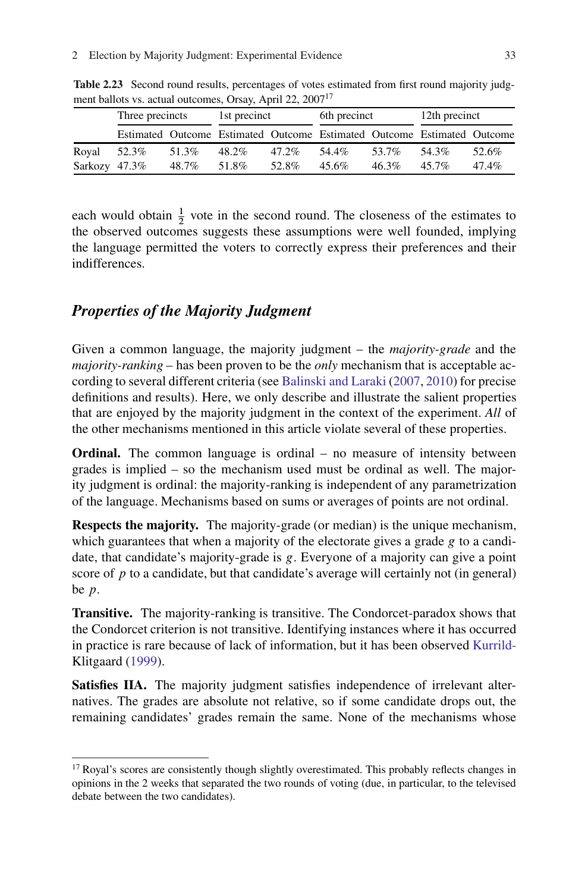|                  | Three precincts |       | 1st precinct |       | 6th precinct |          | 12th precinct                                                           |          |
|------------------|-----------------|-------|--------------|-------|--------------|----------|-------------------------------------------------------------------------|----------|
|                  |                 |       |              |       |              |          | Estimated Outcome Estimated Outcome Estimated Outcome Estimated Outcome |          |
| Royal            | 52.3%           | 51.3% | 48.2%        | 47.2% | 54.4%        | 53.7%    | 54.3%                                                                   | 52.6%    |
| Sarkozy $47.3\%$ |                 | 48.7% | 51.8%        | 52.8% | $45.6\%$     | $46.3\%$ | $45.7\%$                                                                | $47.4\%$ |

<span id="page-20-0"></span>**Table 2.23** Second round results, percentages of votes estimated from first round majority judgment ballots vs. actual outcomes, Orsay, April 22, 2007<sup>17</sup>

each would obtain  $\frac{1}{2}$  vote in the second round. The closeness of the estimates to the observed outcomes suggests these assumptions were well founded, implying the language permitted the voters to correctly express their preferences and their indifferences.

### *Properties of the Majority Judgment*

Given a common language, the majority judgment – the *majority-grade* and the *majority-ranking* – has been proven to be the *only* mechanism that is acceptable according to several different criteria (see [Balinski and Laraki](#page-40-4) [\(2007,](#page-40-4) [2010](#page-40-5)) for precise definitions and results). Here, we only describe and illustrate the salient properties that are enjoyed by the majority judgment in the context of the experiment. *All* of the other mechanisms mentioned in this article violate several of these properties.

**Ordinal.** The common language is ordinal – no measure of intensity between grades is implied – so the mechanism used must be ordinal as well. The majority judgment is ordinal: the majority-ranking is independent of any parametrization of the language. Mechanisms based on sums or averages of points are not ordinal.

**Respects the majority.** The majority-grade (or median) is the unique mechanism, which guarantees that when a majority of the electorate gives a grade  $g$  to a candidate, that candidate's majority-grade is  $g$ . Everyone of a majority can give a point score of  $p$  to a candidate, but that candidate's average will certainly not (in general) be p.

**Transitive.** The majority-ranking is transitive. The Condorcet-paradox shows that the Condorcet criterion is not transitive. Identifying instances where it has occurred in practic[e](#page-40-11) [is](#page-40-11) [rare](#page-40-11) [because](#page-40-11) [of](#page-40-11) [lack](#page-40-11) [of](#page-40-11) [information,](#page-40-11) [but](#page-40-11) [it](#page-40-11) [has](#page-40-11) [been](#page-40-11) [observed](#page-40-11) Kurrild-Klitgaard [\(1999](#page-40-11)).

**Satisfies IIA.** The majority judgment satisfies independence of irrelevant alternatives. The grades are absolute not relative, so if some candidate drops out, the remaining candidates' grades remain the same. None of the mechanisms whose

<sup>&</sup>lt;sup>17</sup> Royal's scores are consistently though slightly overestimated. This probably reflects changes in opinions in the 2 weeks that separated the two rounds of voting (due, in particular, to the televised debate between the two candidates).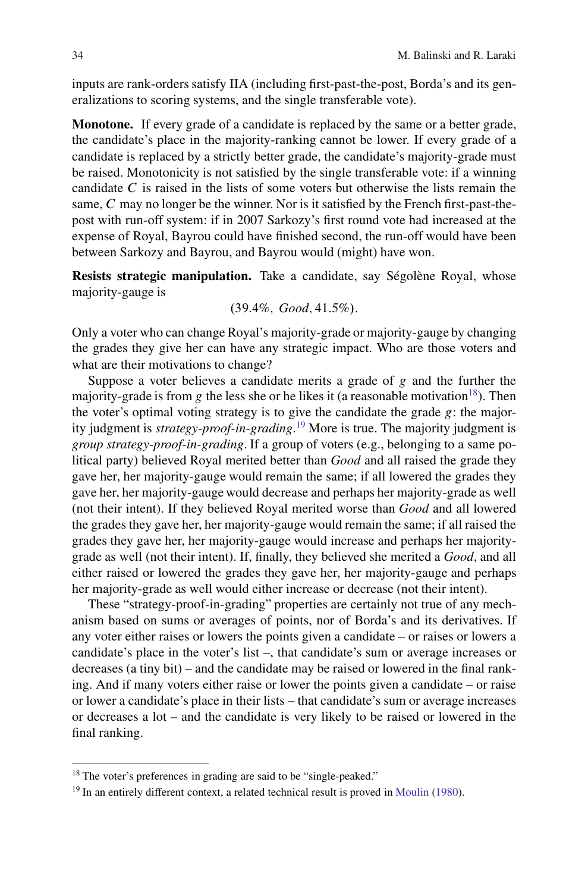inputs are rank-orders satisfy IIA (including first-past-the-post, Borda's and its generalizations to scoring systems, and the single transferable vote).

**Monotone.** If every grade of a candidate is replaced by the same or a better grade, the candidate's place in the majority-ranking cannot be lower. If every grade of a candidate is replaced by a strictly better grade, the candidate's majority-grade must be raised. Monotonicity is not satisfied by the single transferable vote: if a winning candidate  $C$  is raised in the lists of some voters but otherwise the lists remain the same,  $C$  may no longer be the winner. Nor is it satisfied by the French first-past-thepost with run-off system: if in 2007 Sarkozy's first round vote had increased at the expense of Royal, Bayrou could have finished second, the run-off would have been between Sarkozy and Bayrou, and Bayrou would (might) have won.

**Resists strategic manipulation.** Take a candidate, say Ségolène Royal, whose majority-gauge is

$$
(39.4\%, Good, 41.5\%).
$$

Only a voter who can change Royal's majority-grade or majority-gauge by changing the grades they give her can have any strategic impact. Who are those voters and what are their motivations to change?

Suppose a voter believes a candidate merits a grade of  $g$  and the further the majority-grade is from g the less she or he likes it (a reasonable motivation<sup>18</sup>). Then the voter's optimal voting strategy is to give the candidate the grade  $g$ : the majority judgment is *strategy-proof-in-grading*. [19](#page-21-1) More is true. The majority judgment is *group strategy-proof-in-grading*. If a group of voters (e.g., belonging to a same political party) believed Royal merited better than *Good* and all raised the grade they gave her, her majority-gauge would remain the same; if all lowered the grades they gave her, her majority-gauge would decrease and perhaps her majority-grade as well (not their intent). If they believed Royal merited worse than *Good* and all lowered the grades they gave her, her majority-gauge would remain the same; if all raised the grades they gave her, her majority-gauge would increase and perhaps her majoritygrade as well (not their intent). If, finally, they believed she merited a *Good*, and all either raised or lowered the grades they gave her, her majority-gauge and perhaps her majority-grade as well would either increase or decrease (not their intent).

These "strategy-proof-in-grading" properties are certainly not true of any mechanism based on sums or averages of points, nor of Borda's and its derivatives. If any voter either raises or lowers the points given a candidate – or raises or lowers a candidate's place in the voter's list –, that candidate's sum or average increases or decreases (a tiny bit) – and the candidate may be raised or lowered in the final ranking. And if many voters either raise or lower the points given a candidate – or raise or lower a candidate's place in their lists – that candidate's sum or average increases or decreases a lot – and the candidate is very likely to be raised or lowered in the final ranking.

<sup>&</sup>lt;sup>18</sup> The voter's preferences in grading are said to be "single-peaked."

<span id="page-21-1"></span><span id="page-21-0"></span><sup>&</sup>lt;sup>19</sup> In an entirely different context, a related technical result is proved in [Moulin](#page-41-4) [\(1980](#page-41-4)).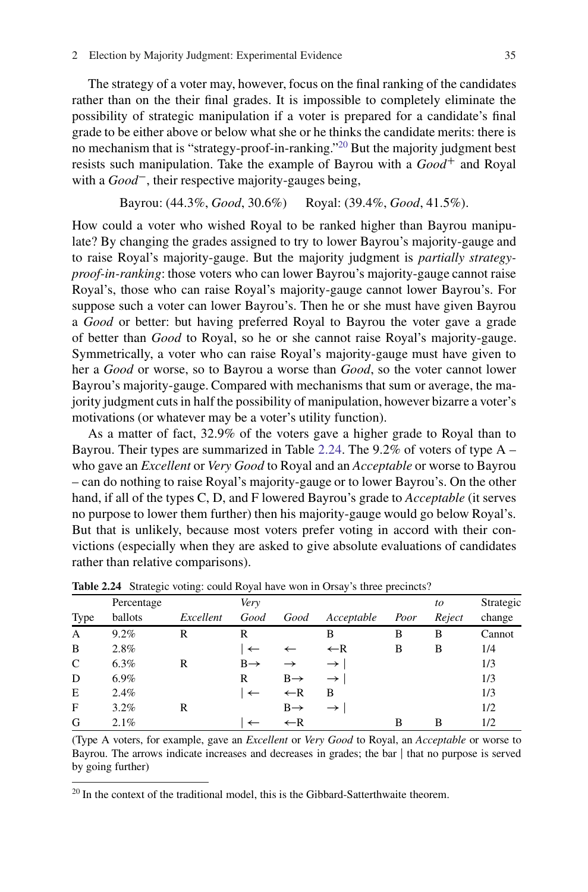The strategy of a voter may, however, focus on the final ranking of the candidates rather than on the their final grades. It is impossible to completely eliminate the possibility of strategic manipulation if a voter is prepared for a candidate's final grade to be either above or below what she or he thinks the candidate merits: there is no mechanism that is "strategy-proof-in-ranking.["20](#page-22-0) But the majority judgment best resists such manipulation. Take the example of Bayrou with a  $Good<sup>+</sup>$  and Royal with a *Good*, their respective majority-gauges being,

Bayrou: (44.3%, *Good*, 30.6%) Royal: (39.4%, *Good*, 41.5%).

How could a voter who wished Royal to be ranked higher than Bayrou manipulate? By changing the grades assigned to try to lower Bayrou's majority-gauge and to raise Royal's majority-gauge. But the majority judgment is *partially strategyproof-in-ranking*: those voters who can lower Bayrou's majority-gauge cannot raise Royal's, those who can raise Royal's majority-gauge cannot lower Bayrou's. For suppose such a voter can lower Bayrou's. Then he or she must have given Bayrou a *Good* or better: but having preferred Royal to Bayrou the voter gave a grade of better than *Good* to Royal, so he or she cannot raise Royal's majority-gauge. Symmetrically, a voter who can raise Royal's majority-gauge must have given to her a *Good* or worse, so to Bayrou a worse than *Good*, so the voter cannot lower Bayrou's majority-gauge. Compared with mechanisms that sum or average, the majority judgment cuts in half the possibility of manipulation, however bizarre a voter's motivations (or whatever may be a voter's utility function).

As a matter of fact, 32.9% of the voters gave a higher grade to Royal than to Bayrou. Their types are summarized in Table [2.24.](#page-22-1) The 9.2% of voters of type A – who gave an *Excellent* or *Very Good* to Royal and an *Acceptable* or worse to Bayrou – can do nothing to raise Royal's majority-gauge or to lower Bayrou's. On the other hand, if all of the types C, D, and F lowered Bayrou's grade to *Acceptable* (it serves no purpose to lower them further) then his majority-gauge would go below Royal's. But that is unlikely, because most voters prefer voting in accord with their convictions (especially when they are asked to give absolute evaluations of candidates rather than relative comparisons).

|      | Percentage |           | Very            |                 |                |      | to     | Strategic |
|------|------------|-----------|-----------------|-----------------|----------------|------|--------|-----------|
| Type | ballots    | Excellent | Good            | Good            | Acceptable     | Poor | Reject | change    |
| A    | $9.2\%$    | R         | R               |                 | B              | B    | B      | Cannot    |
| B    | 2.8%       |           | $\leftarrow$    |                 | $\leftarrow R$ | B    | B      | 1/4       |
| C    | $6.3\%$    | R         | $B \rightarrow$ |                 | $\rightarrow$  |      |        | 1/3       |
| D    | $6.9\%$    |           | R               | $B \rightarrow$ |                |      |        | 1/3       |
| E    | 2.4%       |           | $\leftarrow$    | $\leftarrow$ R  | B              |      |        | 1/3       |
| F    | $3.2\%$    | R         |                 | $B \rightarrow$ |                |      |        | 1/2       |
| G    | 2.1%       |           | $\leftarrow$    | $\leftarrow$ R  |                | в    | B      | 1/2       |

<span id="page-22-1"></span>**Table 2.24** Strategic voting: could Royal have won in Orsay's three precincts?

(Type A voters, for example, gave an *Excellent* or *Very Good* to Royal, an *Acceptable* or worse to Bayrou. The arrows indicate increases and decreases in grades; the bar j that no purpose is served by going further)

<span id="page-22-0"></span> $20$  In the context of the traditional model, this is the Gibbard-Satterthwaite theorem.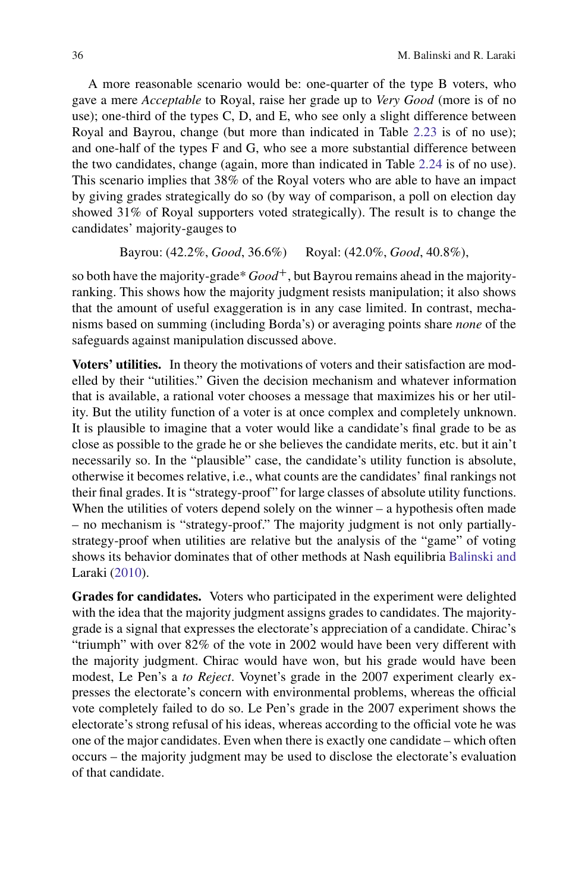A more reasonable scenario would be: one-quarter of the type B voters, who gave a mere *Acceptable* to Royal, raise her grade up to *Very Good* (more is of no use); one-third of the types C, D, and E, who see only a slight difference between Royal and Bayrou, change (but more than indicated in Table [2.23](#page-20-0) is of no use); and one-half of the types F and G, who see a more substantial difference between the two candidates, change (again, more than indicated in Table [2.24](#page-22-1) is of no use). This scenario implies that 38% of the Royal voters who are able to have an impact by giving grades strategically do so (by way of comparison, a poll on election day showed 31% of Royal supporters voted strategically). The result is to change the candidates' majority-gauges to

Bayrou: (42.2%, *Good*, 36.6%) Royal: (42.0%, *Good*, 40.8%),

so both have the majority-grade\*  $Good^+$ , but Bayrou remains ahead in the majorityranking. This shows how the majority judgment resists manipulation; it also shows that the amount of useful exaggeration is in any case limited. In contrast, mechanisms based on summing (including Borda's) or averaging points share *none* of the safeguards against manipulation discussed above.

**Voters' utilities.** In theory the motivations of voters and their satisfaction are modelled by their "utilities." Given the decision mechanism and whatever information that is available, a rational voter chooses a message that maximizes his or her utility. But the utility function of a voter is at once complex and completely unknown. It is plausible to imagine that a voter would like a candidate's final grade to be as close as possible to the grade he or she believes the candidate merits, etc. but it ain't necessarily so. In the "plausible" case, the candidate's utility function is absolute, otherwise it becomes relative, i.e., what counts are the candidates' final rankings not their final grades. It is "strategy-proof" for large classes of absolute utility functions. When the utilities of voters depend solely on the winner – a hypothesis often made – no mechanism is "strategy-proof." The majority judgment is not only partiallystrategy-proof when utilities are relative but the analysis of the "game" of voting shows its behavior dominates that [of](#page-40-5) [other](#page-40-5) [methods](#page-40-5) [at](#page-40-5) [Nash](#page-40-5) [equilibria](#page-40-5) Balinski and Laraki [\(2010\)](#page-40-5).

**Grades for candidates.** Voters who participated in the experiment were delighted with the idea that the majority judgment assigns grades to candidates. The majoritygrade is a signal that expresses the electorate's appreciation of a candidate. Chirac's "triumph" with over 82% of the vote in 2002 would have been very different with the majority judgment. Chirac would have won, but his grade would have been modest, Le Pen's a *to Reject*. Voynet's grade in the 2007 experiment clearly expresses the electorate's concern with environmental problems, whereas the official vote completely failed to do so. Le Pen's grade in the 2007 experiment shows the electorate's strong refusal of his ideas, whereas according to the official vote he was one of the major candidates. Even when there is exactly one candidate – which often occurs – the majority judgment may be used to disclose the electorate's evaluation of that candidate.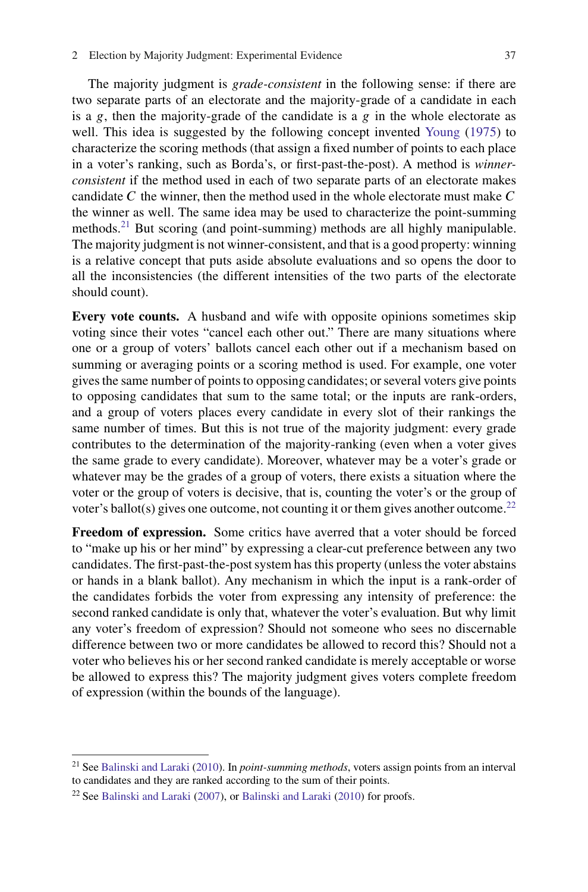The majority judgment is *grade-consistent* in the following sense: if there are two separate parts of an electorate and the majority-grade of a candidate in each is a  $g$ , then the majority-grade of the candidate is a  $g$  in the whole electorate as well. This idea is suggested by the following concept invented [Young](#page-41-5) [\(1975\)](#page-41-5) to characterize the scoring methods (that assign a fixed number of points to each place in a voter's ranking, such as Borda's, or first-past-the-post). A method is *winnerconsistent* if the method used in each of two separate parts of an electorate makes candidate  $C$  the winner, then the method used in the whole electorate must make  $C$ the winner as well. The same idea may be used to characterize the point-summing methods.[21](#page-24-0) But scoring (and point-summing) methods are all highly manipulable. The majority judgment is not winner-consistent, and that is a good property: winning is a relative concept that puts aside absolute evaluations and so opens the door to all the inconsistencies (the different intensities of the two parts of the electorate should count).

**Every vote counts.** A husband and wife with opposite opinions sometimes skip voting since their votes "cancel each other out." There are many situations where one or a group of voters' ballots cancel each other out if a mechanism based on summing or averaging points or a scoring method is used. For example, one voter gives the same number of points to opposing candidates; or several voters give points to opposing candidates that sum to the same total; or the inputs are rank-orders, and a group of voters places every candidate in every slot of their rankings the same number of times. But this is not true of the majority judgment: every grade contributes to the determination of the majority-ranking (even when a voter gives the same grade to every candidate). Moreover, whatever may be a voter's grade or whatever may be the grades of a group of voters, there exists a situation where the voter or the group of voters is decisive, that is, counting the voter's or the group of voter's ballot(s) gives one outcome, not counting it or them gives another outcome.<sup>[22](#page-24-1)</sup>

**Freedom of expression.** Some critics have averred that a voter should be forced to "make up his or her mind" by expressing a clear-cut preference between any two candidates. The first-past-the-post system has this property (unless the voter abstains or hands in a blank ballot). Any mechanism in which the input is a rank-order of the candidates forbids the voter from expressing any intensity of preference: the second ranked candidate is only that, whatever the voter's evaluation. But why limit any voter's freedom of expression? Should not someone who sees no discernable difference between two or more candidates be allowed to record this? Should not a voter who believes his or her second ranked candidate is merely acceptable or worse be allowed to express this? The majority judgment gives voters complete freedom of expression (within the bounds of the language).

<span id="page-24-0"></span><sup>21</sup> See [Balinski and Laraki](#page-40-5) [\(2010](#page-40-5)). In *point-summing methods*, voters assign points from an interval to candidates and they are ranked according to the sum of their points.

<span id="page-24-1"></span> $22$  See [Balinski and Laraki](#page-40-5) [\(2007](#page-40-4)), or Balinski and Laraki [\(2010](#page-40-5)) for proofs.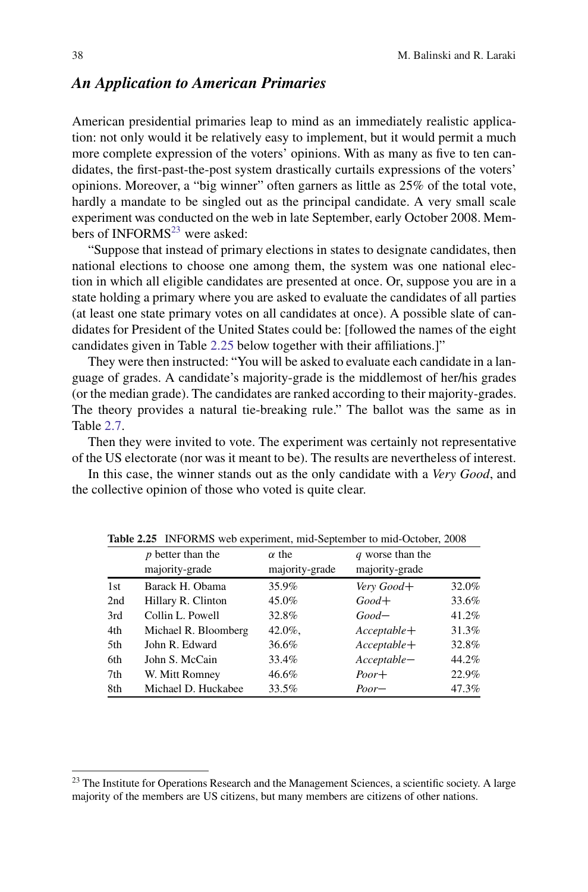### *An Application to American Primaries*

American presidential primaries leap to mind as an immediately realistic application: not only would it be relatively easy to implement, but it would permit a much more complete expression of the voters' opinions. With as many as five to ten candidates, the first-past-the-post system drastically curtails expressions of the voters' opinions. Moreover, a "big winner" often garners as little as 25% of the total vote, hardly a mandate to be singled out as the principal candidate. A very small scale experiment was conducted on the web in late September, early October 2008. Members of INFORMS $^{23}$  were asked:

"Suppose that instead of primary elections in states to designate candidates, then national elections to choose one among them, the system was one national election in which all eligible candidates are presented at once. Or, suppose you are in a state holding a primary where you are asked to evaluate the candidates of all parties (at least one state primary votes on all candidates at once). A possible slate of candidates for President of the United States could be: [followed the names of the eight candidates given in Table [2.25](#page-25-1) below together with their affiliations.]"

They were then instructed: "You will be asked to evaluate each candidate in a language of grades. A candidate's majority-grade is the middlemost of her/his grades (or the median grade). The candidates are ranked according to their majority-grades. The theory provides a natural tie-breaking rule." The ballot was the same as in Table [2.7.](#page-8-0)

Then they were invited to vote. The experiment was certainly not representative of the US electorate (nor was it meant to be). The results are nevertheless of interest.

In this case, the winner stands out as the only candidate with a *Very Good*, and the collective opinion of those who voted is quite clear.

|     | <i>p</i> better than the | $\alpha$ the   | q worse than the |       |
|-----|--------------------------|----------------|------------------|-------|
|     | majority-grade           | majority-grade | majority-grade   |       |
| 1st | Barack H. Obama          | 35.9%          | Very Good+       | 32.0% |
| 2nd | Hillary R. Clinton       | 45.0%          | $Good+$          | 33.6% |
| 3rd | Collin L. Powell         | 32.8%          | $Good-$          | 41.2% |
| 4th | Michael R. Bloomberg     | 42.0%,         | $Acceptable+$    | 31.3% |
| 5th | John R. Edward           | 36.6%          | $Acceptable+$    | 32.8% |
| 6th | John S. McCain           | 33.4%          | $Acceptable-$    | 44.2% |
| 7th | W. Mitt Romney           | 46.6%          | $Poor+$          | 22.9% |
| 8th | Michael D. Huckabee      | 33.5%          | $Poor-$          | 47.3% |

<span id="page-25-1"></span>**Table 2.25** INFORMS web experiment, mid-September to mid-October, 2008

<span id="page-25-0"></span><sup>&</sup>lt;sup>23</sup> The Institute for Operations Research and the Management Sciences, a scientific society. A large majority of the members are US citizens, but many members are citizens of other nations.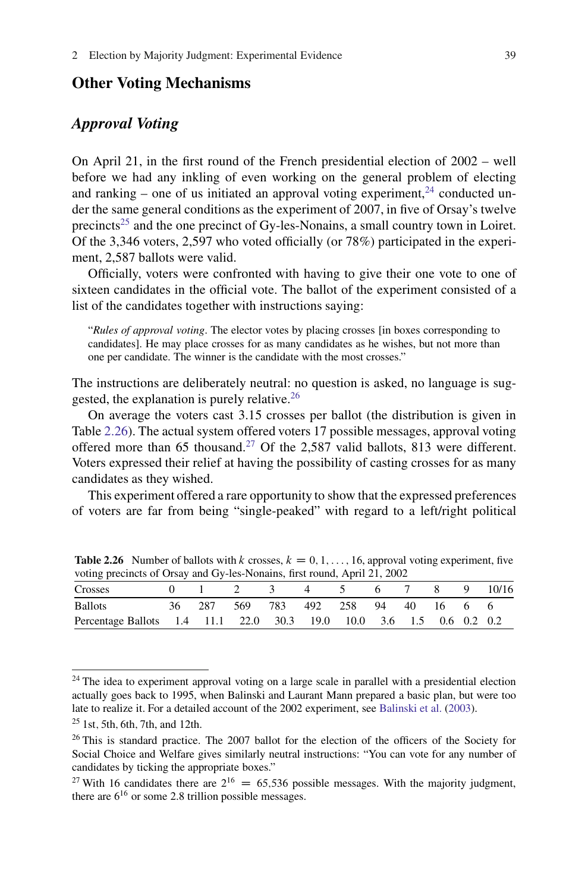#### **Other Voting Mechanisms**

### *Approval Voting*

On April 21, in the first round of the French presidential election of 2002 – well before we had any inkling of even working on the general problem of electing and ranking – one of us initiated an approval voting experiment,  $24$  conducted under the same general conditions as the experiment of 2007, in five of Orsay's twelve precincts<sup>25</sup> and the one precinct of Gy-les-Nonains, a small country town in Loiret. Of the 3,346 voters, 2,597 who voted officially (or 78%) participated in the experiment, 2,587 ballots were valid.

Officially, voters were confronted with having to give their one vote to one of sixteen candidates in the official vote. The ballot of the experiment consisted of a list of the candidates together with instructions saying:

"*Rules of approval voting*. The elector votes by placing crosses [in boxes corresponding to candidates]. He may place crosses for as many candidates as he wishes, but not more than one per candidate. The winner is the candidate with the most crosses."

The instructions are deliberately neutral: no question is asked, no language is sug-gested, the explanation is purely relative.<sup>[26](#page-26-2)</sup>

On average the voters cast 3.15 crosses per ballot (the distribution is given in Table [2.26\)](#page-26-3). The actual system offered voters 17 possible messages, approval voting offered more than 65 thousand.<sup>27</sup> Of the 2,587 valid ballots, 813 were different. Voters expressed their relief at having the possibility of casting crosses for as many candidates as they wished.

This experiment offered a rare opportunity to show that the expressed preferences of voters are far from being "single-peaked" with regard to a left/right political

| voting precincts of Orsay and Gy-les-Nonains, first round, April 21, 2002 |  |        |  |  |                              |  |  |  |  |  |       |  |
|---------------------------------------------------------------------------|--|--------|--|--|------------------------------|--|--|--|--|--|-------|--|
| Crosses                                                                   |  |        |  |  | 0 1 2 3 4 5 6 7 8            |  |  |  |  |  | 10/16 |  |
| <b>Ballots</b>                                                            |  | 36 287 |  |  | 569 783 492 258 94 40 16 6 6 |  |  |  |  |  |       |  |
| Percentage Ballots 1.4 11.1 22.0 30.3 19.0 10.0 3.6 1.5 0.6 0.2 0.2       |  |        |  |  |                              |  |  |  |  |  |       |  |

<span id="page-26-3"></span>**Table 2.26** Number of ballots with k crosses,  $k = 0, 1, \ldots, 16$ , approval voting experiment, five

<span id="page-26-0"></span> $24$  The idea to experiment approval voting on a large scale in parallel with a presidential election actually goes back to 1995, when Balinski and Laurant Mann prepared a basic plan, but were too late to realize it. For a detailed account of the 2002 experiment, see [Balinski et al.](#page-40-10) [\(2003\)](#page-40-10).

 $^{25}$  1st, 5th, 6th, 7th, and 12th.

<span id="page-26-2"></span><span id="page-26-1"></span><sup>&</sup>lt;sup>26</sup> This is standard practice. The 2007 ballot for the election of the officers of the Society for Social Choice and Welfare gives similarly neutral instructions: "You can vote for any number of candidates by ticking the appropriate boxes."

<span id="page-26-4"></span><sup>&</sup>lt;sup>27</sup> With 16 candidates there are  $2^{16} = 65,536$  possible messages. With the majority judgment, there are  $6^{16}$  or some 2.8 trillion possible messages.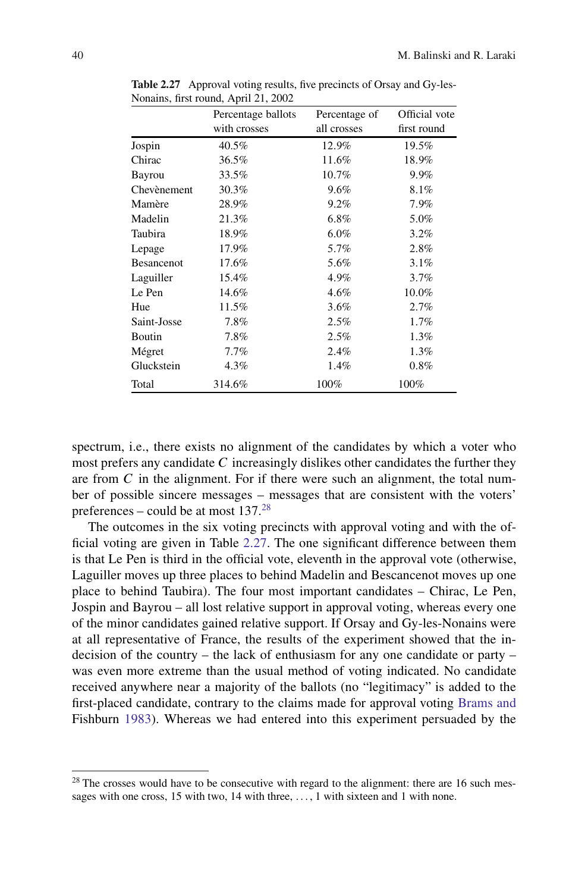|                   | Percentage ballots | Percentage of | Official vote |
|-------------------|--------------------|---------------|---------------|
|                   | with crosses       | all crosses   | first round   |
| Jospin            | 40.5%              | 12.9%         | 19.5%         |
| Chirac            | 36.5%              | 11.6%         | 18.9%         |
| Bayrou            | 33.5%              | 10.7%         | 9.9%          |
| Chevènement       | 30.3%              | 9.6%          | 8.1%          |
| Mamère            | 28.9%              | 9.2%          | 7.9%          |
| Madelin           | 21.3%              | 6.8%          | 5.0%          |
| Taubira           | 18.9%              | 6.0%          | 3.2%          |
| Lepage            | 17.9%              | 5.7%          | 2.8%          |
| <b>Besancenot</b> | 17.6%              | 5.6%          | 3.1%          |
| Laguiller         | 15.4%              | 4.9%          | 3.7%          |
| Le Pen            | 14.6%              | 4.6%          | 10.0%         |
| Hue               | 11.5%              | $3.6\%$       | 2.7%          |
| Saint-Josse       | 7.8%               | 2.5%          | 1.7%          |
| Boutin            | 7.8%               | 2.5%          | 1.3%          |
| Mégret            | 7.7%               | 2.4%          | 1.3%          |
| Gluckstein        | 4.3%               | 1.4%          | 0.8%          |
| Total             | 314.6%             | 100%          | 100%          |

<span id="page-27-1"></span>**Table 2.27** Approval voting results, five precincts of Orsay and Gy-les-Nonains, first round, April 21, 2002

spectrum, i.e., there exists no alignment of the candidates by which a voter who most prefers any candidate C increasingly dislikes other candidates the further they are from  $C$  in the alignment. For if there were such an alignment, the total number of possible sincere messages – messages that are consistent with the voters' preferences – could be at most  $137<sup>28</sup>$  $137<sup>28</sup>$  $137<sup>28</sup>$ 

The outcomes in the six voting precincts with approval voting and with the official voting are given in Table [2.27.](#page-27-1) The one significant difference between them is that Le Pen is third in the official vote, eleventh in the approval vote (otherwise, Laguiller moves up three places to behind Madelin and Bescancenot moves up one place to behind Taubira). The four most important candidates – Chirac, Le Pen, Jospin and Bayrou – all lost relative support in approval voting, whereas every one of the minor candidates gained relative support. If Orsay and Gy-les-Nonains were at all representative of France, the results of the experiment showed that the indecision of the country – the lack of enthusiasm for any one candidate or party – was even more extreme than the usual method of voting indicated. No candidate received anywhere near a majority of the ballots (no "legitimacy" is added to the first-pla[ced](#page-40-12) [candidate,](#page-40-12) [contrary](#page-40-12) [to](#page-40-12) [the](#page-40-12) [claims](#page-40-12) [made](#page-40-12) [for](#page-40-12) [approval](#page-40-12) [voting](#page-40-12) Brams and Fishburn [1983](#page-40-12)). Whereas we had entered into this experiment persuaded by the

<span id="page-27-0"></span> $28$  The crosses would have to be consecutive with regard to the alignment: there are 16 such messages with one cross, 15 with two, 14 with three, ..., 1 with sixteen and 1 with none.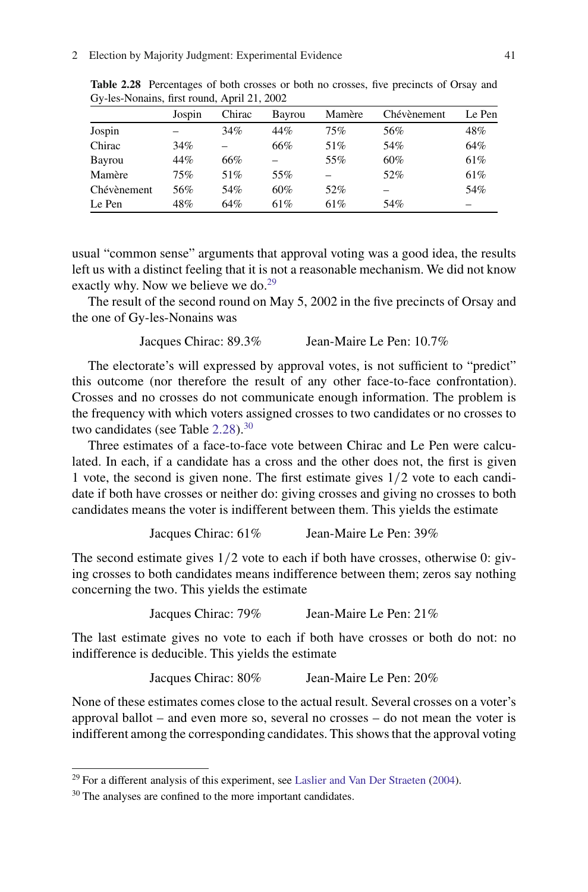<span id="page-28-1"></span>

|             | Jospin | Chirac | Bayrou | Mamère | Chévènement | Le Pen |
|-------------|--------|--------|--------|--------|-------------|--------|
| Jospin      |        | 34%    | 44%    | 75%    | 56%         | 48%    |
| Chirac      | 34%    |        | 66%    | 51%    | 54%         | 64%    |
| Bayrou      | 44%    | 66%    |        | 55%    | 60%         | 61%    |
| Mamère      | 75%    | 51%    | 55%    |        | 52%         | 61%    |
| Chévènement | 56%    | 54%    | 60%    | 52%    |             | 54%    |
| Le Pen      | 48%    | 64%    | 61%    | 61%    | 54%         |        |

**Table 2.28** Percentages of both crosses or both no crosses, five precincts of Orsay and Gy-les-Nonains, first round, April 21, 2002

usual "common sense" arguments that approval voting was a good idea, the results left us with a distinct feeling that it is not a reasonable mechanism. We did not know exactly why. Now we believe we do.<sup>[29](#page-28-0)</sup>

The result of the second round on May 5, 2002 in the five precincts of Orsay and the one of Gy-les-Nonains was

```
Jacques Chirac: 89.3% Jean-Maire Le Pen: 10.7%
```
The electorate's will expressed by approval votes, is not sufficient to "predict" this outcome (nor therefore the result of any other face-to-face confrontation). Crosses and no crosses do not communicate enough information. The problem is the frequency with which voters assigned crosses to two candidates or no crosses to two candidates (see Table  $2.28$ ).<sup>[30](#page-28-2)</sup>

Three estimates of a face-to-face vote between Chirac and Le Pen were calculated. In each, if a candidate has a cross and the other does not, the first is given 1 vote, the second is given none. The first estimate gives  $1/2$  vote to each candidate if both have crosses or neither do: giving crosses and giving no crosses to both candidates means the voter is indifferent between them. This yields the estimate

Jacques Chirac: 61% Jean-Maire Le Pen: 39%

The second estimate gives  $1/2$  vote to each if both have crosses, otherwise 0: giving crosses to both candidates means indifference between them; zeros say nothing concerning the two. This yields the estimate

Jacques Chirac: 79% Jean-Maire Le Pen: 21%

The last estimate gives no vote to each if both have crosses or both do not: no indifference is deducible. This yields the estimate

Jacques Chirac: 80% Jean-Maire Le Pen: 20%

None of these estimates comes close to the actual result. Several crosses on a voter's approval ballot – and even more so, several no crosses – do not mean the voter is indifferent among the corresponding candidates. This shows that the approval voting

 $29$  For a different analysis of this experiment, see [Laslier and Van Der Straeten](#page-40-13) [\(2004\)](#page-40-13).

<span id="page-28-2"></span><span id="page-28-0"></span><sup>&</sup>lt;sup>30</sup> The analyses are confined to the more important candidates.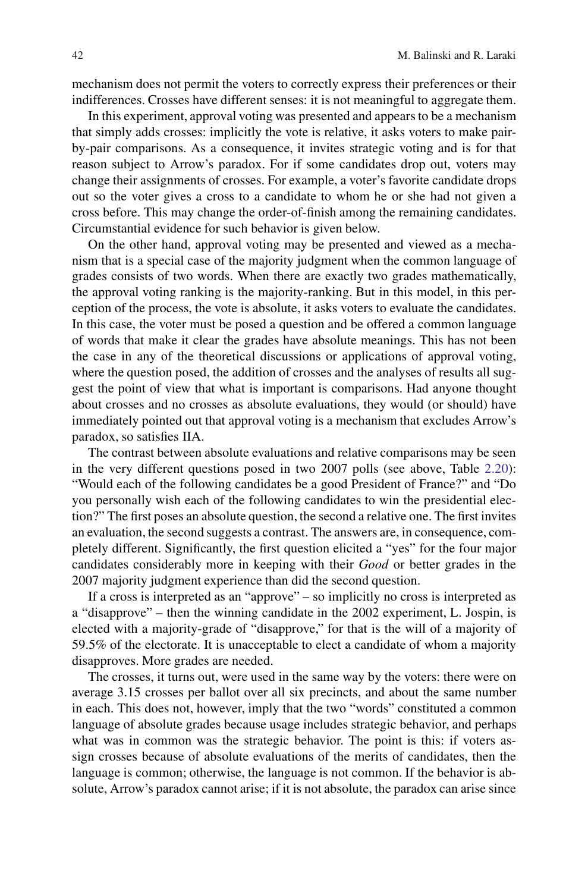mechanism does not permit the voters to correctly express their preferences or their indifferences. Crosses have different senses: it is not meaningful to aggregate them.

In this experiment, approval voting was presented and appears to be a mechanism that simply adds crosses: implicitly the vote is relative, it asks voters to make pairby-pair comparisons. As a consequence, it invites strategic voting and is for that reason subject to Arrow's paradox. For if some candidates drop out, voters may change their assignments of crosses. For example, a voter's favorite candidate drops out so the voter gives a cross to a candidate to whom he or she had not given a cross before. This may change the order-of-finish among the remaining candidates. Circumstantial evidence for such behavior is given below.

On the other hand, approval voting may be presented and viewed as a mechanism that is a special case of the majority judgment when the common language of grades consists of two words. When there are exactly two grades mathematically, the approval voting ranking is the majority-ranking. But in this model, in this perception of the process, the vote is absolute, it asks voters to evaluate the candidates. In this case, the voter must be posed a question and be offered a common language of words that make it clear the grades have absolute meanings. This has not been the case in any of the theoretical discussions or applications of approval voting, where the question posed, the addition of crosses and the analyses of results all suggest the point of view that what is important is comparisons. Had anyone thought about crosses and no crosses as absolute evaluations, they would (or should) have immediately pointed out that approval voting is a mechanism that excludes Arrow's paradox, so satisfies IIA.

The contrast between absolute evaluations and relative comparisons may be seen in the very different questions posed in two 2007 polls (see above, Table [2.20\)](#page-17-0): "Would each of the following candidates be a good President of France?" and "Do you personally wish each of the following candidates to win the presidential election?" The first poses an absolute question, the second a relative one. The first invites an evaluation, the second suggests a contrast. The answers are, in consequence, completely different. Significantly, the first question elicited a "yes" for the four major candidates considerably more in keeping with their *Good* or better grades in the 2007 majority judgment experience than did the second question.

If a cross is interpreted as an "approve" – so implicitly no cross is interpreted as a "disapprove" – then the winning candidate in the 2002 experiment, L. Jospin, is elected with a majority-grade of "disapprove," for that is the will of a majority of 59.5% of the electorate. It is unacceptable to elect a candidate of whom a majority disapproves. More grades are needed.

The crosses, it turns out, were used in the same way by the voters: there were on average 3.15 crosses per ballot over all six precincts, and about the same number in each. This does not, however, imply that the two "words" constituted a common language of absolute grades because usage includes strategic behavior, and perhaps what was in common was the strategic behavior. The point is this: if voters assign crosses because of absolute evaluations of the merits of candidates, then the language is common; otherwise, the language is not common. If the behavior is absolute, Arrow's paradox cannot arise; if it is not absolute, the paradox can arise since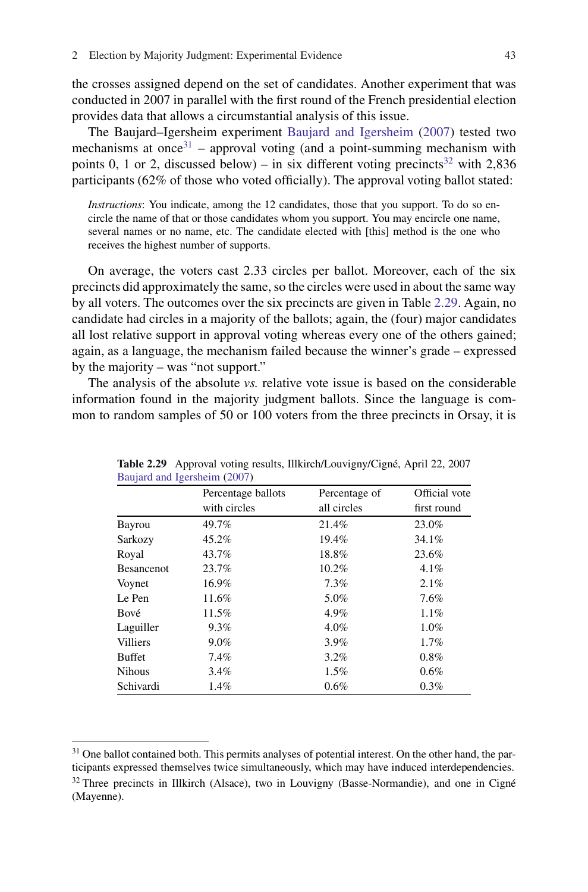the crosses assigned depend on the set of candidates. Another experiment that was conducted in 2007 in parallel with the first round of the French presidential election provides data that allows a circumstantial analysis of this issue.

The Baujard–Igersheim experiment [Baujard and Igersheim](#page-40-14) [\(2007](#page-40-14)) tested two mechanisms at once<sup>[31](#page-30-0)</sup> – approval voting (and a point-summing mechanism with points 0, 1 or 2, discussed below) – in six different voting precincts<sup>32</sup> with 2,836 participants (62% of those who voted officially). The approval voting ballot stated:

*Instructions*: You indicate, among the 12 candidates, those that you support. To do so encircle the name of that or those candidates whom you support. You may encircle one name, several names or no name, etc. The candidate elected with [this] method is the one who receives the highest number of supports.

On average, the voters cast 2.33 circles per ballot. Moreover, each of the six precincts did approximately the same, so the circles were used in about the same way by all voters. The outcomes over the six precincts are given in Table [2.29.](#page-30-2) Again, no candidate had circles in a majority of the ballots; again, the (four) major candidates all lost relative support in approval voting whereas every one of the others gained; again, as a language, the mechanism failed because the winner's grade – expressed by the majority – was "not support."

The analysis of the absolute *vs.* relative vote issue is based on the considerable information found in the majority judgment ballots. Since the language is common to random samples of 50 or 100 voters from the three precincts in Orsay, it is

|                   | Percentage ballots | Percentage of | Official vote |  |
|-------------------|--------------------|---------------|---------------|--|
|                   | with circles       | all circles   | first round   |  |
| Bayrou            | 49.7%              | 21.4%         | 23.0%         |  |
| Sarkozy           | 45.2%              | 19.4%         | 34.1%         |  |
| Royal             | 43.7%              | 18.8%         | 23.6%         |  |
| <b>Besancenot</b> | 23.7%              | $10.2\%$      | 4.1%          |  |
| Voynet            | 16.9%              | 7.3%          | 2.1%          |  |
| Le Pen            | 11.6%              | 5.0%          | 7.6%          |  |
| Bové              | 11.5%              | 4.9%          | 1.1%          |  |
| Laguiller         | $9.3\%$            | $4.0\%$       | 1.0%          |  |
| Villiers          | $9.0\%$            | 3.9%          | 1.7%          |  |
| <b>Buffet</b>     | 7.4%               | 3.2%          | 0.8%          |  |
| <b>Nihous</b>     | $3.4\%$            | $1.5\%$       | 0.6%          |  |
| Schivardi         | 1.4%               | 0.6%          | 0.3%          |  |

<span id="page-30-2"></span>Table 2.29 Approval voting results, Illkirch/Louvigny/Cigné, April 22, 2007 [Baujard and Igersheim](#page-40-14) [\(2007](#page-40-14))

<span id="page-30-1"></span><span id="page-30-0"></span><sup>&</sup>lt;sup>31</sup> One ballot contained both. This permits analyses of potential interest. On the other hand, the participants expressed themselves twice simultaneously, which may have induced interdependencies.  $32$  Three precincts in Illkirch (Alsace), two in Louvigny (Basse-Normandie), and one in Cigné (Mayenne).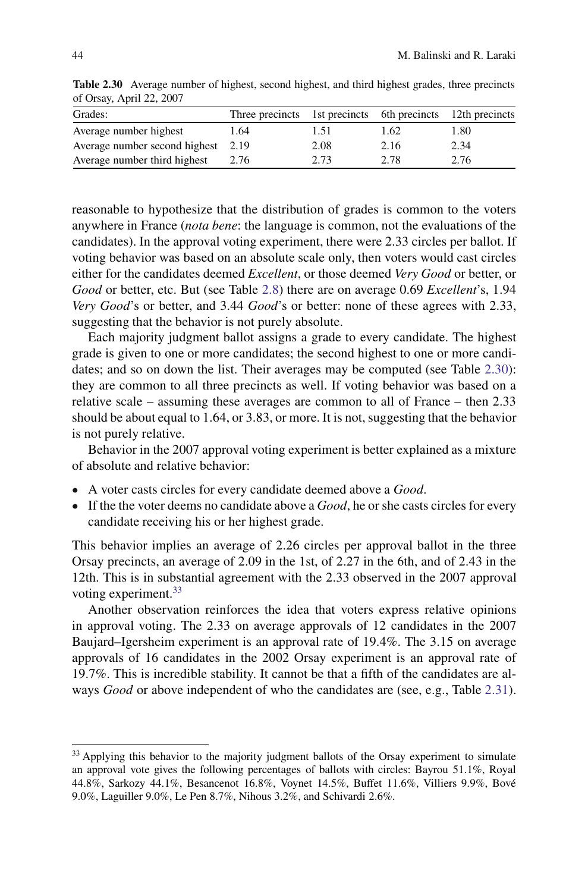| $0.01$ $0.001$ , $1.1$ $0.11$ $0.00$ , $0.001$ |                                                            |      |      |      |  |  |  |  |  |  |  |
|------------------------------------------------|------------------------------------------------------------|------|------|------|--|--|--|--|--|--|--|
| Grades:                                        | Three precincts 1st precincts 6th precincts 12th precincts |      |      |      |  |  |  |  |  |  |  |
| Average number highest                         | 1.64                                                       | 1.51 | 1.62 | 1.80 |  |  |  |  |  |  |  |
| Average number second highest 2.19             |                                                            | 2.08 | 2.16 | 2.34 |  |  |  |  |  |  |  |
| Average number third highest                   | 2.76                                                       | 2.73 | 2.78 | 2.76 |  |  |  |  |  |  |  |

<span id="page-31-0"></span>**Table 2.30** Average number of highest, second highest, and third highest grades, three precincts of Orsay, April 22, 2007

reasonable to hypothesize that the distribution of grades is common to the voters anywhere in France (*nota bene*: the language is common, not the evaluations of the candidates). In the approval voting experiment, there were 2.33 circles per ballot. If voting behavior was based on an absolute scale only, then voters would cast circles either for the candidates deemed *Excellent*, or those deemed *Very Good* or better, or *Good* or better, etc. But (see Table [2.8\)](#page-9-2) there are on average 0.69 *Excellent*'s, 1.94 *Very Good*'s or better, and 3.44 *Good*'s or better: none of these agrees with 2.33, suggesting that the behavior is not purely absolute.

Each majority judgment ballot assigns a grade to every candidate. The highest grade is given to one or more candidates; the second highest to one or more candidates; and so on down the list. Their averages may be computed (see Table [2.30\)](#page-31-0): they are common to all three precincts as well. If voting behavior was based on a relative scale – assuming these averages are common to all of France – then 2.33 should be about equal to 1.64, or 3.83, or more. It is not, suggesting that the behavior is not purely relative.

Behavior in the 2007 approval voting experiment is better explained as a mixture of absolute and relative behavior:

- A voter casts circles for every candidate deemed above a *Good*.
- If the the voter deems no candidate above a *Good*, he or she casts circles for every candidate receiving his or her highest grade.

This behavior implies an average of 2.26 circles per approval ballot in the three Orsay precincts, an average of 2.09 in the 1st, of 2.27 in the 6th, and of 2.43 in the 12th. This is in substantial agreement with the 2.33 observed in the 2007 approval voting experiment. $33$ 

Another observation reinforces the idea that voters express relative opinions in approval voting. The 2.33 on average approvals of 12 candidates in the 2007 Baujard–Igersheim experiment is an approval rate of 19.4%. The 3.15 on average approvals of 16 candidates in the 2002 Orsay experiment is an approval rate of 19.7%. This is incredible stability. It cannot be that a fifth of the candidates are always *Good* or above independent of who the candidates are (see, e.g., Table [2.31\)](#page-32-0).

<span id="page-31-1"></span><sup>&</sup>lt;sup>33</sup> Applying this behavior to the majority judgment ballots of the Orsay experiment to simulate an approval vote gives the following percentages of ballots with circles: Bayrou 51.1%, Royal 44.8%, Sarkozy 44.1%, Besancenot 16.8%, Voynet 14.5%, Buffet 11.6%, Villiers 9.9%, Bové 9.0%, Laguiller 9.0%, Le Pen 8.7%, Nihous 3.2%, and Schivardi 2.6%.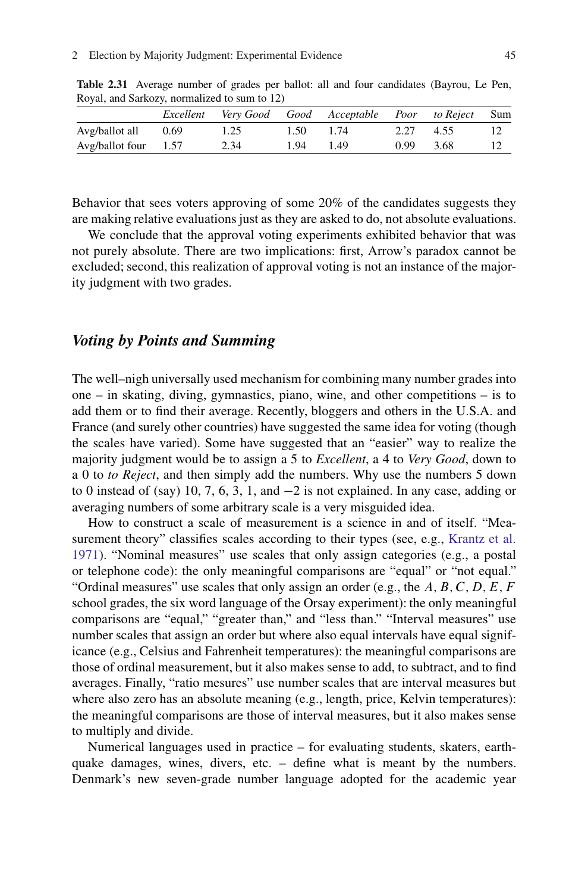|                      | Excellent |      |      | Very Good Good Acceptable Poor to Reject |      |      | Sum |
|----------------------|-----------|------|------|------------------------------------------|------|------|-----|
| Avg/ballot all       | 0.69      | 1.25 | 1.50 | 1.74                                     | 2.27 | 4.55 |     |
| Avg/ballot four 1.57 |           | 2.34 | 1.94 | 1.49                                     | 0.99 | 3.68 |     |

<span id="page-32-0"></span>**Table 2.31** Average number of grades per ballot: all and four candidates (Bayrou, Le Pen, Royal, and Sarkozy, normalized to sum to 12)

Behavior that sees voters approving of some 20% of the candidates suggests they are making relative evaluations just as they are asked to do, not absolute evaluations.

We conclude that the approval voting experiments exhibited behavior that was not purely absolute. There are two implications: first, Arrow's paradox cannot be excluded; second, this realization of approval voting is not an instance of the majority judgment with two grades.

### *Voting by Points and Summing*

The well–nigh universally used mechanism for combining many number grades into one – in skating, diving, gymnastics, piano, wine, and other competitions – is to add them or to find their average. Recently, bloggers and others in the U.S.A. and France (and surely other countries) have suggested the same idea for voting (though the scales have varied). Some have suggested that an "easier" way to realize the majority judgment would be to assign a 5 to *Excellent*, a 4 to *Very Good*, down to a 0 to *to Reject*, and then simply add the numbers. Why use the numbers 5 down to 0 instead of (say) 10, 7, 6, 3, 1, and  $-2$  is not explained. In any case, adding or averaging numbers of some arbitrary scale is a very misguided idea.

How to construct a scale of measurement is a science in and of itself. "Measurement theory" classifies scales according to their types (see, e.g., [Krantz et al.](#page-40-15) [1971\)](#page-40-15). "Nominal measures" use scales that only assign categories (e.g., a postal or telephone code): the only meaningful comparisons are "equal" or "not equal." "Ordinal measures" use scales that only assign an order (e.g., the A, B, C, D, E, F school grades, the six word language of the Orsay experiment): the only meaningful comparisons are "equal," "greater than," and "less than." "Interval measures" use number scales that assign an order but where also equal intervals have equal significance (e.g., Celsius and Fahrenheit temperatures): the meaningful comparisons are those of ordinal measurement, but it also makes sense to add, to subtract, and to find averages. Finally, "ratio mesures" use number scales that are interval measures but where also zero has an absolute meaning (e.g., length, price, Kelvin temperatures): the meaningful comparisons are those of interval measures, but it also makes sense to multiply and divide.

Numerical languages used in practice – for evaluating students, skaters, earthquake damages, wines, divers, etc. – define what is meant by the numbers. Denmark's new seven-grade number language adopted for the academic year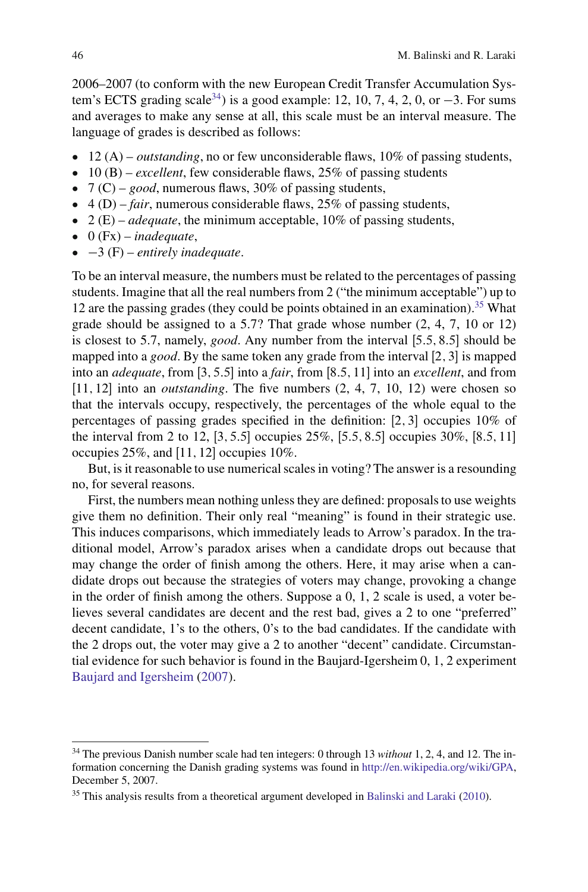2006–2007 (to conform with the new European Credit Transfer Accumulation System's ECTS grading scale<sup>34</sup>) is a good example: 12, 10, 7, 4, 2, 0, or  $-3$ . For sums and averages to make any sense at all, this scale must be an interval measure. The language of grades is described as follows:

- 12 (A) *outstanding*, no or few unconsiderable flaws, 10% of passing students,
- 10 (B) *excellent*, few considerable flaws, 25% of passing students
- 7 (C) *good*, numerous flaws, 30% of passing students,
- 4 (D) *fair*, numerous considerable flaws, 25% of passing students,
- 2 (E) *adequate*, the minimum acceptable, 10% of passing students,
- $\bullet$  0 (Fx) *inadequate*,
- $\bullet$   $-3$  (F) *entirely inadequate*.

To be an interval measure, the numbers must be related to the percentages of passing students. Imagine that all the real numbers from 2 ("the minimum acceptable") up to 12 are the passing grades (they could be points obtained in an examination).<sup>[35](#page-33-1)</sup> What grade should be assigned to a 5.7? That grade whose number (2, 4, 7, 10 or 12) is closest to 5.7, namely, *good*. Any number from the interval  $[5.5, 8.5]$  should be<br>manned into a *good*. By the same token any grade from the interval  $[2, 3]$  is manned mapped into a *good*. By the same token any grade from the interval  $[2, 3]$  is mapped<br>into an *adequate* from  $[3, 5, 5]$  into a *fair* from  $[8, 5, 11]$  into an *excellent* and from into an *adequate*, from [3, 5.5] into a *fair*, from [8.5, 11] into an *excellent*, and from<br>[11, 12] into an *outstanding*. The five numbers (2, 4, 7, 10, 12) were chosen so that the intervals occupy, respectively, the percentages of the whole equal to the  $[11, 12]$  into an *outstanding*. The five numbers  $(2, 4, 7, 10, 12)$  were chosen so percentages of passing grades specified in the definition:  $[2, 3]$  occupies  $10\%$  of the interval from 2 to 12,  $[3, 5, 5]$  occupies  $25\%$ ,  $[5, 5, 8, 5]$  occupies  $30\%$ ,  $[8, 5, 11]$ the interval from 2 to 12,  $[3, 5.5]$  occupies 25%,  $[5.5, 8.5]$  occupies 30%,  $[8.5, 11]$ <br>occupies 25%, and  $[11, 12]$  occupies 10% occupies  $25\%$ , and  $[11, 12]$  occupies  $10\%$ .<br>But is it reasonable to use numerical scale

But, is it reasonable to use numerical scales in voting? The answer is a resounding no, for several reasons.

First, the numbers mean nothing unless they are defined: proposals to use weights give them no definition. Their only real "meaning" is found in their strategic use. This induces comparisons, which immediately leads to Arrow's paradox. In the traditional model, Arrow's paradox arises when a candidate drops out because that may change the order of finish among the others. Here, it may arise when a candidate drops out because the strategies of voters may change, provoking a change in the order of finish among the others. Suppose a 0, 1, 2 scale is used, a voter believes several candidates are decent and the rest bad, gives a 2 to one "preferred" decent candidate, 1's to the others, 0's to the bad candidates. If the candidate with the 2 drops out, the voter may give a 2 to another "decent" candidate. Circumstantial evidence for such behavior is found in the Baujard-Igersheim 0, 1, 2 experiment [Baujard and Igersheim](#page-40-14) [\(2007\)](#page-40-14).

<span id="page-33-0"></span><sup>34</sup> The previous Danish number scale had ten integers: 0 through 13 *without* 1, 2, 4, and 12. The information concerning the Danish grading systems was found in [http://en.wikipedia.org/wiki/GPA,](http://en.wikipedia.org/wiki/GPA) December 5, 2007.

<span id="page-33-1"></span><sup>&</sup>lt;sup>35</sup> This analysis results from a theoretical argument developed in [Balinski and Laraki](#page-40-5) [\(2010](#page-40-5)).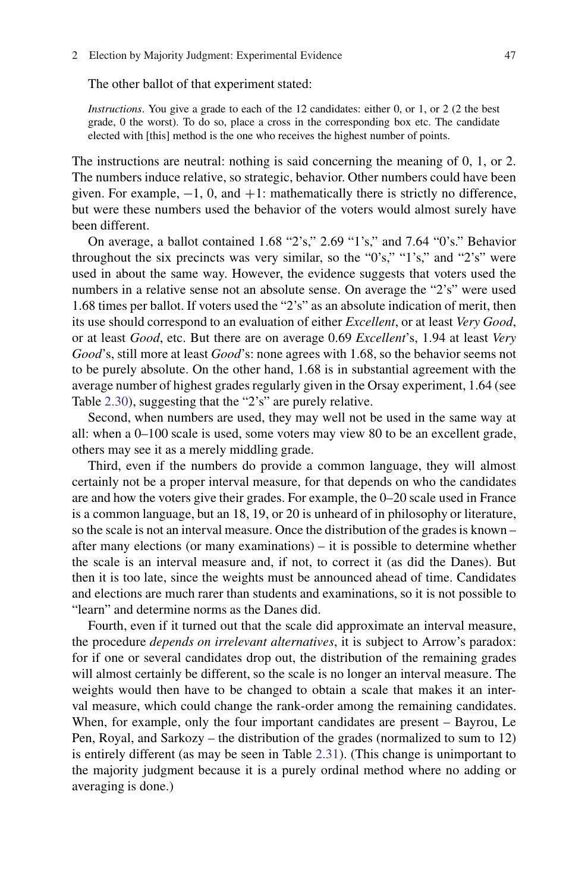The other ballot of that experiment stated:

*Instructions*. You give a grade to each of the 12 candidates: either 0, or 1, or 2 (2 the best grade, 0 the worst). To do so, place a cross in the corresponding box etc. The candidate elected with [this] method is the one who receives the highest number of points.

The instructions are neutral: nothing is said concerning the meaning of 0, 1, or 2. The numbers induce relative, so strategic, behavior. Other numbers could have been given. For example,  $-1$ , 0, and  $+1$ : mathematically there is strictly no difference, but were these numbers used the behavior of the voters would almost surely have been different.

On average, a ballot contained 1.68 "2's," 2.69 "1's," and 7.64 "0's." Behavior throughout the six precincts was very similar, so the "0's," "1's," and "2's" were used in about the same way. However, the evidence suggests that voters used the numbers in a relative sense not an absolute sense. On average the "2's" were used 1.68 times per ballot. If voters used the "2's" as an absolute indication of merit, then its use should correspond to an evaluation of either *Excellent*, or at least *Very Good*, or at least *Good*, etc. But there are on average 0.69 *Excellent*'s, 1.94 at least *Very Good*'s, still more at least *Good*'s: none agrees with 1.68, so the behavior seems not to be purely absolute. On the other hand, 1.68 is in substantial agreement with the average number of highest grades regularly given in the Orsay experiment, 1.64 (see Table [2.30\)](#page-31-0), suggesting that the "2's" are purely relative.

Second, when numbers are used, they may well not be used in the same way at all: when a 0–100 scale is used, some voters may view 80 to be an excellent grade, others may see it as a merely middling grade.

Third, even if the numbers do provide a common language, they will almost certainly not be a proper interval measure, for that depends on who the candidates are and how the voters give their grades. For example, the 0–20 scale used in France is a common language, but an 18, 19, or 20 is unheard of in philosophy or literature, so the scale is not an interval measure. Once the distribution of the grades is known – after many elections (or many examinations) – it is possible to determine whether the scale is an interval measure and, if not, to correct it (as did the Danes). But then it is too late, since the weights must be announced ahead of time. Candidates and elections are much rarer than students and examinations, so it is not possible to "learn" and determine norms as the Danes did.

Fourth, even if it turned out that the scale did approximate an interval measure, the procedure *depends on irrelevant alternatives*, it is subject to Arrow's paradox: for if one or several candidates drop out, the distribution of the remaining grades will almost certainly be different, so the scale is no longer an interval measure. The weights would then have to be changed to obtain a scale that makes it an interval measure, which could change the rank-order among the remaining candidates. When, for example, only the four important candidates are present – Bayrou, Le Pen, Royal, and Sarkozy – the distribution of the grades (normalized to sum to 12) is entirely different (as may be seen in Table [2.31\)](#page-32-0). (This change is unimportant to the majority judgment because it is a purely ordinal method where no adding or averaging is done.)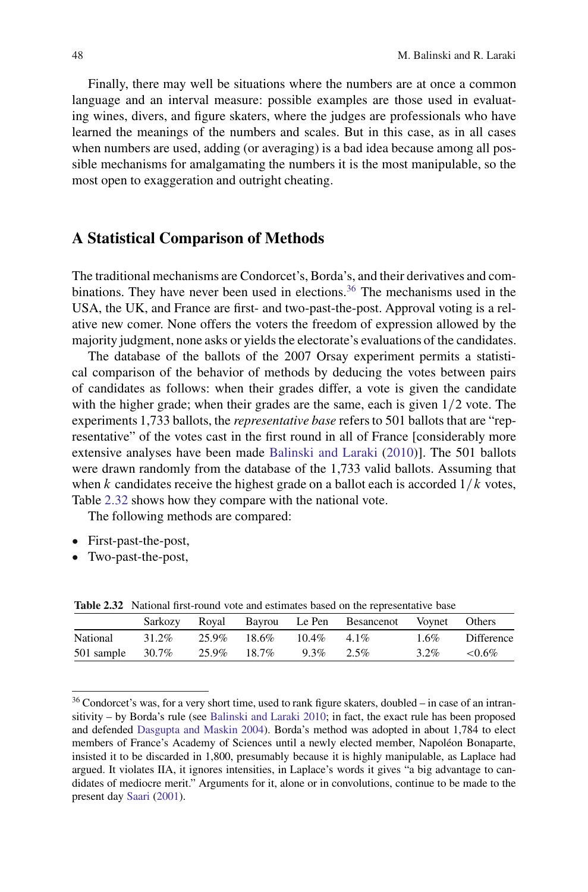Finally, there may well be situations where the numbers are at once a common language and an interval measure: possible examples are those used in evaluating wines, divers, and figure skaters, where the judges are professionals who have learned the meanings of the numbers and scales. But in this case, as in all cases when numbers are used, adding (or averaging) is a bad idea because among all possible mechanisms for amalgamating the numbers it is the most manipulable, so the most open to exaggeration and outright cheating.

### **A Statistical Comparison of Methods**

The traditional mechanisms are Condorcet's, Borda's, and their derivatives and com-binations. They have never been used in elections.<sup>[36](#page-35-0)</sup> The mechanisms used in the USA, the UK, and France are first- and two-past-the-post. Approval voting is a relative new comer. None offers the voters the freedom of expression allowed by the majority judgment, none asks or yields the electorate's evaluations of the candidates.

The database of the ballots of the 2007 Orsay experiment permits a statistical comparison of the behavior of methods by deducing the votes between pairs of candidates as follows: when their grades differ, a vote is given the candidate with the higher grade; when their grades are the same, each is given  $1/2$  vote. The experiments 1,733 ballots, the *representative base* refers to 501 ballots that are "representative" of the votes cast in the first round in all of France [considerably more extensive analyses have been made [Balinski and Laraki](#page-40-5) [\(2010\)](#page-40-5)]. The 501 ballots were drawn randomly from the database of the 1,733 valid ballots. Assuming that when k candidates receive the highest grade on a ballot each is accorded  $1/k$  votes, Table [2.32](#page-35-1) shows how they compare with the national vote.

The following methods are compared:

- First-past-the-post,
- Two-past-the-post,

<span id="page-35-1"></span>

|                  |       |             |                                    |              | Sarkozy Royal Bayrou Le Pen Besancenot Voynet Others |         |            |
|------------------|-------|-------------|------------------------------------|--------------|------------------------------------------------------|---------|------------|
| National         | 31.2% |             | $25.9\%$ $18.6\%$ $10.4\%$ $4.1\%$ |              |                                                      | $1.6\%$ | Difference |
| 501 sample 30.7% |       | 25.9% 18.7% |                                    | $9.3\%$ 2.5% |                                                      | $3.2\%$ | ${<}0.6\%$ |

**Table 2.32** National first-round vote and estimates based on the representative base

<span id="page-35-0"></span><sup>&</sup>lt;sup>36</sup> Condorcet's was, for a very short time, used to rank figure skaters, doubled – in case of an intransitivity – by Borda's rule (see [Balinski and Laraki 2010](#page-40-5); in fact, the exact rule has been proposed and defended [Dasgupta and Maskin 2004](#page-40-16)). Borda's method was adopted in about 1,784 to elect members of France's Academy of Sciences until a newly elected member, Napoléon Bonaparte, insisted it to be discarded in 1,800, presumably because it is highly manipulable, as Laplace had argued. It violates IIA, it ignores intensities, in Laplace's words it gives "a big advantage to candidates of mediocre merit." Arguments for it, alone or in convolutions, continue to be made to the present day [Saari](#page-41-6) [\(2001\)](#page-41-6).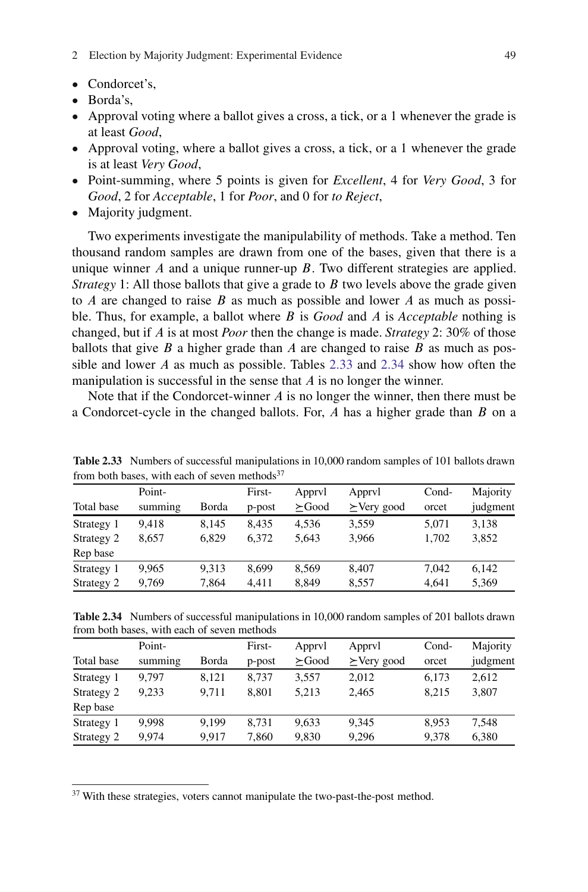- 2 Election by Majority Judgment: Experimental Evidence 49
- Condorcet's,
- Borda's.
- Approval voting where a ballot gives a cross, a tick, or a 1 whenever the grade is at least *Good*,
- Approval voting, where a ballot gives a cross, a tick, or a 1 whenever the grade is at least *Very Good*,
- Point-summing, where 5 points is given for *Excellent*, 4 for *Very Good*, 3 for *Good*, 2 for *Acceptable*, 1 for *Poor*, and 0 for *to Reject*,
- Majority judgment.

Two experiments investigate the manipulability of methods. Take a method. Ten thousand random samples are drawn from one of the bases, given that there is a unique winner  $A$  and a unique runner-up  $B$ . Two different strategies are applied. *Strategy* 1: All those ballots that give a grade to B two levels above the grade given to A are changed to raise B as much as possible and lower A as much as possible. Thus, for example, a ballot where B is *Good* and A is *Acceptable* nothing is changed, but if A is at most *Poor* then the change is made. *Strategy* 2: 30% of those ballots that give B a higher grade than A are changed to raise B as much as possible and lower A as much as possible. Tables [2.33](#page-36-0) and [2.34](#page-36-1) show how often the manipulation is successful in the sense that A is no longer the winner.

Note that if the Condorcet-winner  $A$  is no longer the winner, then there must be a Condorcet-cycle in the changed ballots. For, A has a higher grade than B on a

<span id="page-36-0"></span>

|            | nvin ovur ouses, mui eaen or se ren meurous |       |        |              |                     |       |          |  |  |  |  |  |
|------------|---------------------------------------------|-------|--------|--------------|---------------------|-------|----------|--|--|--|--|--|
|            | Point-                                      |       | First- | Apprvl       | Appryl              | Cond- | Majority |  |  |  |  |  |
| Total base | summing                                     | Borda | p-post | $\succ$ Good | $\succeq$ Very good | orcet | judgment |  |  |  |  |  |
| Strategy 1 | 9.418                                       | 8.145 | 8.435  | 4.536        | 3,559               | 5,071 | 3,138    |  |  |  |  |  |
| Strategy 2 | 8.657                                       | 6.829 | 6.372  | 5.643        | 3.966               | 1.702 | 3,852    |  |  |  |  |  |
| Rep base   |                                             |       |        |              |                     |       |          |  |  |  |  |  |
| Strategy 1 | 9.965                                       | 9.313 | 8.699  | 8.569        | 8.407               | 7.042 | 6.142    |  |  |  |  |  |
| Strategy 2 | 9.769                                       | 7,864 | 4.411  | 8.849        | 8,557               | 4.641 | 5,369    |  |  |  |  |  |

**Table 2.33** Numbers of successful manipulations in 10,000 random samples of 101 ballots drawn from both bases, with each of seven methods $37$ 

<span id="page-36-1"></span>**Table 2.34** Numbers of successful manipulations in 10,000 random samples of 201 ballots drawn from both bases, with each of seven methods

|            | Point-  |       | First- | Appryl       | Appryl              | Cond- | Majority |
|------------|---------|-------|--------|--------------|---------------------|-------|----------|
| Total base | summing | Borda | p-post | $\succ$ Good | $\succeq$ Very good | orcet | judgment |
| Strategy 1 | 9.797   | 8.121 | 8.737  | 3,557        | 2.012               | 6.173 | 2.612    |
| Strategy 2 | 9.233   | 9.711 | 8.801  | 5.213        | 2.465               | 8.215 | 3,807    |
| Rep base   |         |       |        |              |                     |       |          |
| Strategy 1 | 9.998   | 9.199 | 8.731  | 9.633        | 9.345               | 8.953 | 7.548    |
| Strategy 2 | 9.974   | 9.917 | 7,860  | 9,830        | 9.296               | 9.378 | 6,380    |

<sup>37</sup> With these strategies, voters cannot manipulate the two-past-the-post method.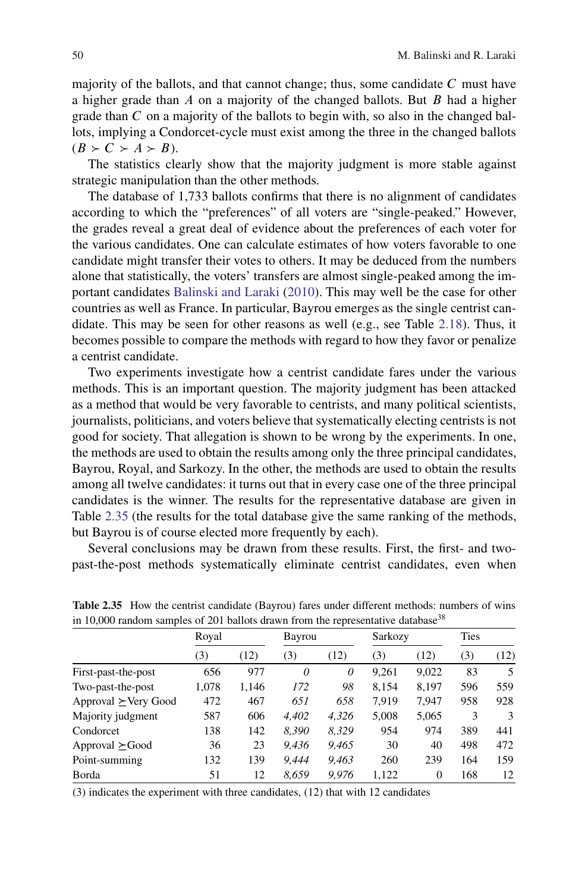majority of the ballots, and that cannot change; thus, some candidate  $C$  must have a higher grade than  $\overline{A}$  on a majority of the changed ballots. But  $\overline{B}$  had a higher grade than  $C$  on a majority of the ballots to begin with, so also in the changed ballots, implying a Condorcet-cycle must exist among the three in the changed ballots  $(B \succ C \succ A \succ B).$ 

The statistics clearly show that the majority judgment is more stable against strategic manipulation than the other methods.

The database of 1,733 ballots confirms that there is no alignment of candidates according to which the "preferences" of all voters are "single-peaked." However, the grades reveal a great deal of evidence about the preferences of each voter for the various candidates. One can calculate estimates of how voters favorable to one candidate might transfer their votes to others. It may be deduced from the numbers alone that statistically, the voters' transfers are almost single-peaked among the important candidates [Balinski and Laraki](#page-40-5) [\(2010\)](#page-40-5). This may well be the case for other countries as well as France. In particular, Bayrou emerges as the single centrist candidate. This may be seen for other reasons as well (e.g., see Table [2.18\)](#page-16-1). Thus, it becomes possible to compare the methods with regard to how they favor or penalize a centrist candidate.

Two experiments investigate how a centrist candidate fares under the various methods. This is an important question. The majority judgment has been attacked as a method that would be very favorable to centrists, and many political scientists, journalists, politicians, and voters believe that systematically electing centrists is not good for society. That allegation is shown to be wrong by the experiments. In one, the methods are used to obtain the results among only the three principal candidates, Bayrou, Royal, and Sarkozy. In the other, the methods are used to obtain the results among all twelve candidates: it turns out that in every case one of the three principal candidates is the winner. The results for the representative database are given in Table [2.35](#page-37-0) (the results for the total database give the same ranking of the methods, but Bayrou is of course elected more frequently by each).

Several conclusions may be drawn from these results. First, the first- and twopast-the-post methods systematically eliminate centrist candidates, even when

<span id="page-37-0"></span>

|                              | Royal |       |       | Bayrou |       | Sarkozy  | Ties |                |
|------------------------------|-------|-------|-------|--------|-------|----------|------|----------------|
|                              | (3)   | (12)  | (3)   | (12)   | (3)   | (12)     | (3)  | (12)           |
| First-past-the-post          | 656   | 977   | 0     | 0      | 9.261 | 9.022    | 83   | $\overline{5}$ |
| Two-past-the-post            | 1,078 | 1.146 | 172   | 98     | 8,154 | 8.197    | 596  | 559            |
| Approval $\succeq$ Very Good | 472   | 467   | 651   | 658    | 7.919 | 7.947    | 958  | 928            |
| Majority judgment            | 587   | 606   | 4.402 | 4.326  | 5,008 | 5,065    | 3    | 3              |
| Condorcet                    | 138   | 142   | 8.390 | 8.329  | 954   | 974      | 389  | 441            |
| Approval $\succeq$ Good      | 36    | 23    | 9.436 | 9.465  | 30    | 40       | 498  | 472            |
| Point-summing                | 132   | 139   | 9.444 | 9.463  | 260   | 239      | 164  | 159            |
| Borda                        | 51    | 12    | 8.659 | 9.976  | 1,122 | $\Omega$ | 168  | 12             |

**Table 2.35** How the centrist candidate (Bayrou) fares under different methods: numbers of wins in 10,000 random samples of 201 ballots drawn from the representative database38

(3) indicates the experiment with three candidates, (12) that with 12 candidates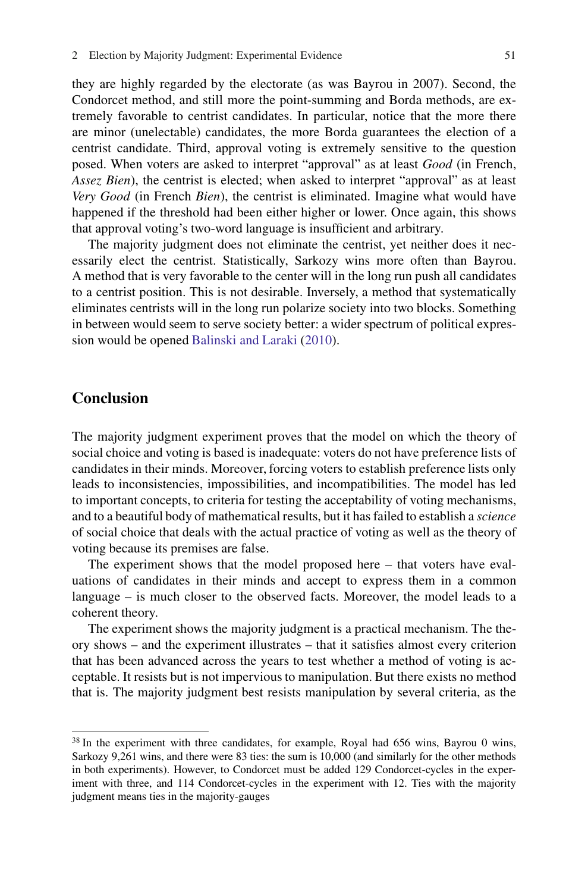they are highly regarded by the electorate (as was Bayrou in 2007). Second, the Condorcet method, and still more the point-summing and Borda methods, are extremely favorable to centrist candidates. In particular, notice that the more there are minor (unelectable) candidates, the more Borda guarantees the election of a centrist candidate. Third, approval voting is extremely sensitive to the question posed. When voters are asked to interpret "approval" as at least *Good* (in French, *Assez Bien*), the centrist is elected; when asked to interpret "approval" as at least *Very Good* (in French *Bien*), the centrist is eliminated. Imagine what would have happened if the threshold had been either higher or lower. Once again, this shows that approval voting's two-word language is insufficient and arbitrary.

The majority judgment does not eliminate the centrist, yet neither does it necessarily elect the centrist. Statistically, Sarkozy wins more often than Bayrou. A method that is very favorable to the center will in the long run push all candidates to a centrist position. This is not desirable. Inversely, a method that systematically eliminates centrists will in the long run polarize society into two blocks. Something in between would seem to serve society better: a wider spectrum of political expression would be opened [Balinski and Laraki](#page-40-5) [\(2010\)](#page-40-5).

### **Conclusion**

The majority judgment experiment proves that the model on which the theory of social choice and voting is based is inadequate: voters do not have preference lists of candidates in their minds. Moreover, forcing voters to establish preference lists only leads to inconsistencies, impossibilities, and incompatibilities. The model has led to important concepts, to criteria for testing the acceptability of voting mechanisms, and to a beautiful body of mathematical results, but it has failed to establish a *science* of social choice that deals with the actual practice of voting as well as the theory of voting because its premises are false.

The experiment shows that the model proposed here – that voters have evaluations of candidates in their minds and accept to express them in a common language – is much closer to the observed facts. Moreover, the model leads to a coherent theory.

The experiment shows the majority judgment is a practical mechanism. The theory shows – and the experiment illustrates – that it satisfies almost every criterion that has been advanced across the years to test whether a method of voting is acceptable. It resists but is not impervious to manipulation. But there exists no method that is. The majority judgment best resists manipulation by several criteria, as the

<sup>&</sup>lt;sup>38</sup> In the experiment with three candidates, for example, Royal had 656 wins, Bayrou 0 wins, Sarkozy 9,261 wins, and there were 83 ties: the sum is 10,000 (and similarly for the other methods in both experiments). However, to Condorcet must be added 129 Condorcet-cycles in the experiment with three, and 114 Condorcet-cycles in the experiment with 12. Ties with the majority judgment means ties in the majority-gauges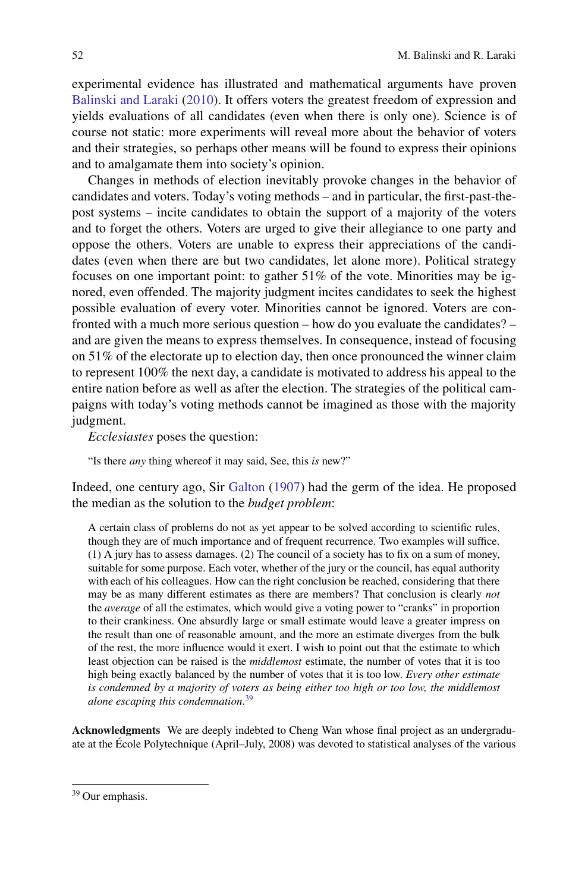experimental evidence has illustrated and mathematical arguments have proven [Balinski and Laraki](#page-40-5) [\(2010](#page-40-5)). It offers voters the greatest freedom of expression and yields evaluations of all candidates (even when there is only one). Science is of course not static: more experiments will reveal more about the behavior of voters and their strategies, so perhaps other means will be found to express their opinions and to amalgamate them into society's opinion.

Changes in methods of election inevitably provoke changes in the behavior of candidates and voters. Today's voting methods – and in particular, the first-past-thepost systems – incite candidates to obtain the support of a majority of the voters and to forget the others. Voters are urged to give their allegiance to one party and oppose the others. Voters are unable to express their appreciations of the candidates (even when there are but two candidates, let alone more). Political strategy focuses on one important point: to gather 51% of the vote. Minorities may be ignored, even offended. The majority judgment incites candidates to seek the highest possible evaluation of every voter. Minorities cannot be ignored. Voters are confronted with a much more serious question – how do you evaluate the candidates? – and are given the means to express themselves. In consequence, instead of focusing on 51% of the electorate up to election day, then once pronounced the winner claim to represent 100% the next day, a candidate is motivated to address his appeal to the entire nation before as well as after the election. The strategies of the political campaigns with today's voting methods cannot be imagined as those with the majority judgment.

*Ecclesiastes* poses the question:

"Is there *any* thing whereof it may said, See, this *is* new?"

Indeed, one century ago, Sir [Galton](#page-40-17) [\(1907](#page-40-17)) had the germ of the idea. He proposed the median as the solution to the *budget problem*:

A certain class of problems do not as yet appear to be solved according to scientific rules, though they are of much importance and of frequent recurrence. Two examples will suffice. (1) A jury has to assess damages. (2) The council of a society has to fix on a sum of money, suitable for some purpose. Each voter, whether of the jury or the council, has equal authority with each of his colleagues. How can the right conclusion be reached, considering that there may be as many different estimates as there are members? That conclusion is clearly *not* the *average* of all the estimates, which would give a voting power to "cranks" in proportion to their crankiness. One absurdly large or small estimate would leave a greater impress on the result than one of reasonable amount, and the more an estimate diverges from the bulk of the rest, the more influence would it exert. I wish to point out that the estimate to which least objection can be raised is the *middlemost* estimate, the number of votes that it is too high being exactly balanced by the number of votes that it is too low. *Every other estimate is condemned by a majority of voters as being either too high or too low, the middlemost alone escaping this condemnation*. [39](#page-39-0)

**Acknowledgments** We are deeply indebted to Cheng Wan whose final project as an undergraduate at the Ecole Polytechnique (April–July, 2008) was devoted to statistical analyses of the various ´

<span id="page-39-0"></span><sup>39</sup> Our emphasis.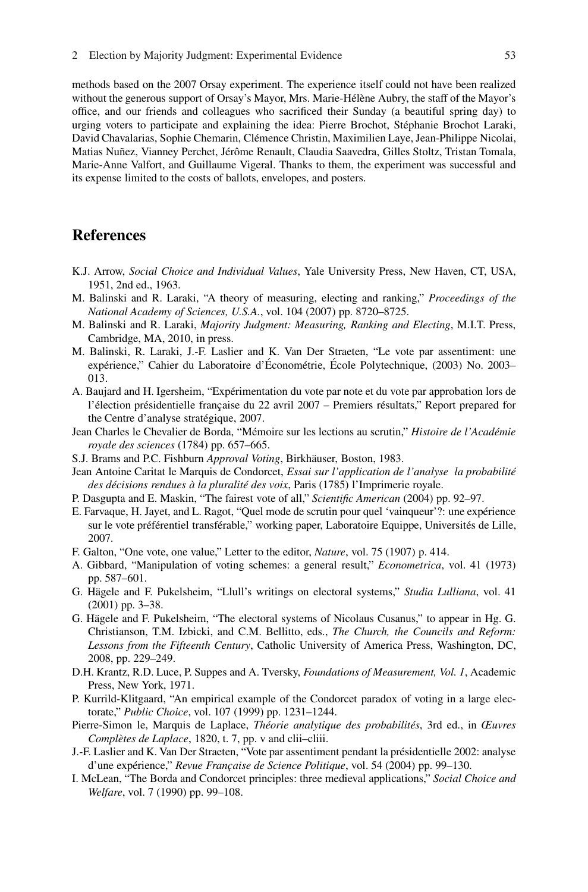methods based on the 2007 Orsay experiment. The experience itself could not have been realized without the generous support of Orsay's Mayor, Mrs. Marie-Hélène Aubry, the staff of the Mayor's office, and our friends and colleagues who sacrificed their Sunday (a beautiful spring day) to urging voters to participate and explaining the idea: Pierre Brochot, Stéphanie Brochot Laraki, David Chavalarias, Sophie Chemarin, Clémence Christin, Maximilien Laye, Jean-Philippe Nicolai, Matias Nuñez, Vianney Perchet, Jérôme Renault, Claudia Saavedra, Gilles Stoltz, Tristan Tomala, Marie-Anne Valfort, and Guillaume Vigeral. Thanks to them, the experiment was successful and its expense limited to the costs of ballots, envelopes, and posters.

#### **References**

- <span id="page-40-2"></span>K.J. Arrow, *Social Choice and Individual Values*, Yale University Press, New Haven, CT, USA, 1951, 2nd ed., 1963.
- <span id="page-40-4"></span>M. Balinski and R. Laraki, "A theory of measuring, electing and ranking," *Proceedings of the National Academy of Sciences, U.S.A.*, vol. 104 (2007) pp. 8720–8725.
- <span id="page-40-5"></span>M. Balinski and R. Laraki, *Majority Judgment: Measuring, Ranking and Electing*, M.I.T. Press, Cambridge, MA, 2010, in press.
- <span id="page-40-10"></span>M. Balinski, R. Laraki, J.-F. Laslier and K. Van Der Straeten, "Le vote par assentiment: une expérience," Cahier du Laboratoire d'Économétrie, École Polytechnique, (2003) No. 2003– 013.
- <span id="page-40-14"></span>A. Baujard and H. Igersheim, "Expérimentation du vote par note et du vote par approbation lors de l'élection présidentielle française du 22 avril 2007 – Premiers résultats," Report prepared for the Centre d'analyse stratégique, 2007.
- <span id="page-40-1"></span>Jean Charles le Chevalier de Borda, "Mémoire sur les lections au scrutin," *Histoire de l'Académie royale des sciences* (1784) pp. 657–665.
- <span id="page-40-12"></span>S.J. Brams and P.C. Fishburn *Approval Voting*, Birkhäuser, Boston, 1983.
- <span id="page-40-0"></span>Jean Antoine Caritat le Marquis de Condorcet, *Essai sur l'application de l'analyse la probabilité* des décisions rendues à la pluralité des voix, Paris (1785) l'Imprimerie royale.
- <span id="page-40-16"></span>P. Dasgupta and E. Maskin, "The fairest vote of all," *Scientific American* (2004) pp. 92–97.
- <span id="page-40-9"></span>E. Farvaque, H. Jayet, and L. Ragot, "Quel mode de scrutin pour quel 'vainqueur'?: une expérience sur le vote préférentiel transférable," working paper, Laboratoire Equippe, Universités de Lille, 2007.
- <span id="page-40-17"></span>F. Galton, "One vote, one value," Letter to the editor, *Nature*, vol. 75 (1907) p. 414.
- <span id="page-40-3"></span>A. Gibbard, "Manipulation of voting schemes: a general result," *Econometrica*, vol. 41 (1973) pp. 587–601.
- <span id="page-40-7"></span>G. Hägele and F. Pukelsheim, "Llull's writings on electoral systems," *Studia Lulliana*, vol. 41 (2001) pp. 3–38.
- <span id="page-40-8"></span>G. Hägele and F. Pukelsheim, "The electoral systems of Nicolaus Cusanus," to appear in Hg. G. Christianson, T.M. Izbicki, and C.M. Bellitto, eds., *The Church, the Councils and Reform: Lessons from the Fifteenth Century*, Catholic University of America Press, Washington, DC, 2008, pp. 229–249.
- <span id="page-40-15"></span>D.H. Krantz, R.D. Luce, P. Suppes and A. Tversky, *Foundations of Measurement, Vol. 1*, Academic Press, New York, 1971.
- <span id="page-40-11"></span>P. Kurrild-Klitgaard, "An empirical example of the Condorcet paradox of voting in a large electorate," *Public Choice*, vol. 107 (1999) pp. 1231–1244.
- Pierre-Simon le, Marquis de Laplace, *Théorie analytique des probabilités*, 3rd ed., in Œuvres *Compl`etes de Laplace*, 1820, t. 7, pp. v and clii–cliii.
- <span id="page-40-13"></span>J.-F. Laslier and K. Van Der Straeten, "Vote par assentiment pendant la présidentielle 2002: analyse d'une expérience," Revue Française de Science Politique, vol. 54 (2004) pp. 99-130.
- <span id="page-40-6"></span>I. McLean, "The Borda and Condorcet principles: three medieval applications," *Social Choice and Welfare*, vol. 7 (1990) pp. 99–108.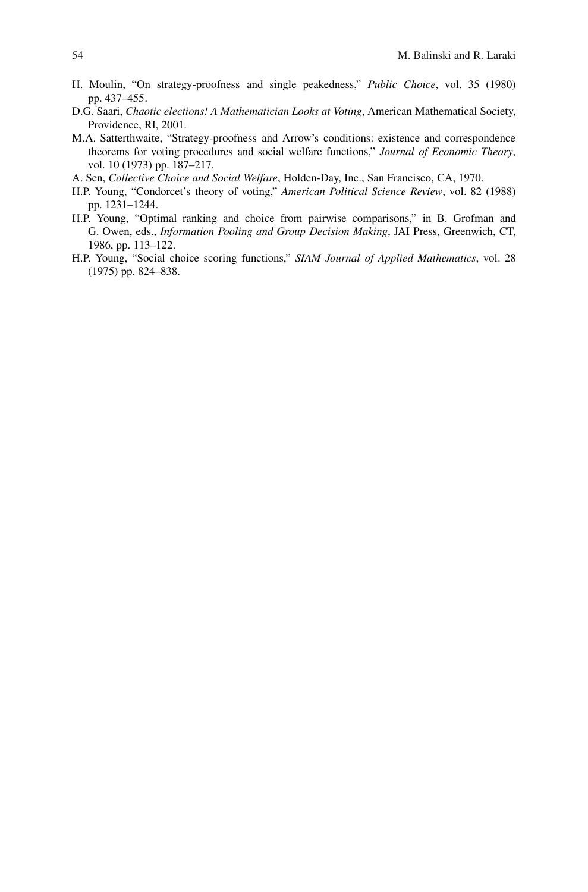- <span id="page-41-4"></span>H. Moulin, "On strategy-proofness and single peakedness," *Public Choice*, vol. 35 (1980) pp. 437–455.
- <span id="page-41-6"></span>D.G. Saari, *Chaotic elections! A Mathematician Looks at Voting*, American Mathematical Society, Providence, RI, 2001.
- <span id="page-41-0"></span>M.A. Satterthwaite, "Strategy-proofness and Arrow's conditions: existence and correspondence theorems for voting procedures and social welfare functions," *Journal of Economic Theory*, vol. 10 (1973) pp. 187–217.
- <span id="page-41-3"></span>A. Sen, *Collective Choice and Social Welfare*, Holden-Day, Inc., San Francisco, CA, 1970.
- <span id="page-41-1"></span>H.P. Young, "Condorcet's theory of voting," *American Political Science Review*, vol. 82 (1988) pp. 1231–1244.
- <span id="page-41-2"></span>H.P. Young, "Optimal ranking and choice from pairwise comparisons," in B. Grofman and G. Owen, eds., *Information Pooling and Group Decision Making*, JAI Press, Greenwich, CT, 1986, pp. 113–122.
- <span id="page-41-5"></span>H.P. Young, "Social choice scoring functions," *SIAM Journal of Applied Mathematics*, vol. 28 (1975) pp. 824–838.